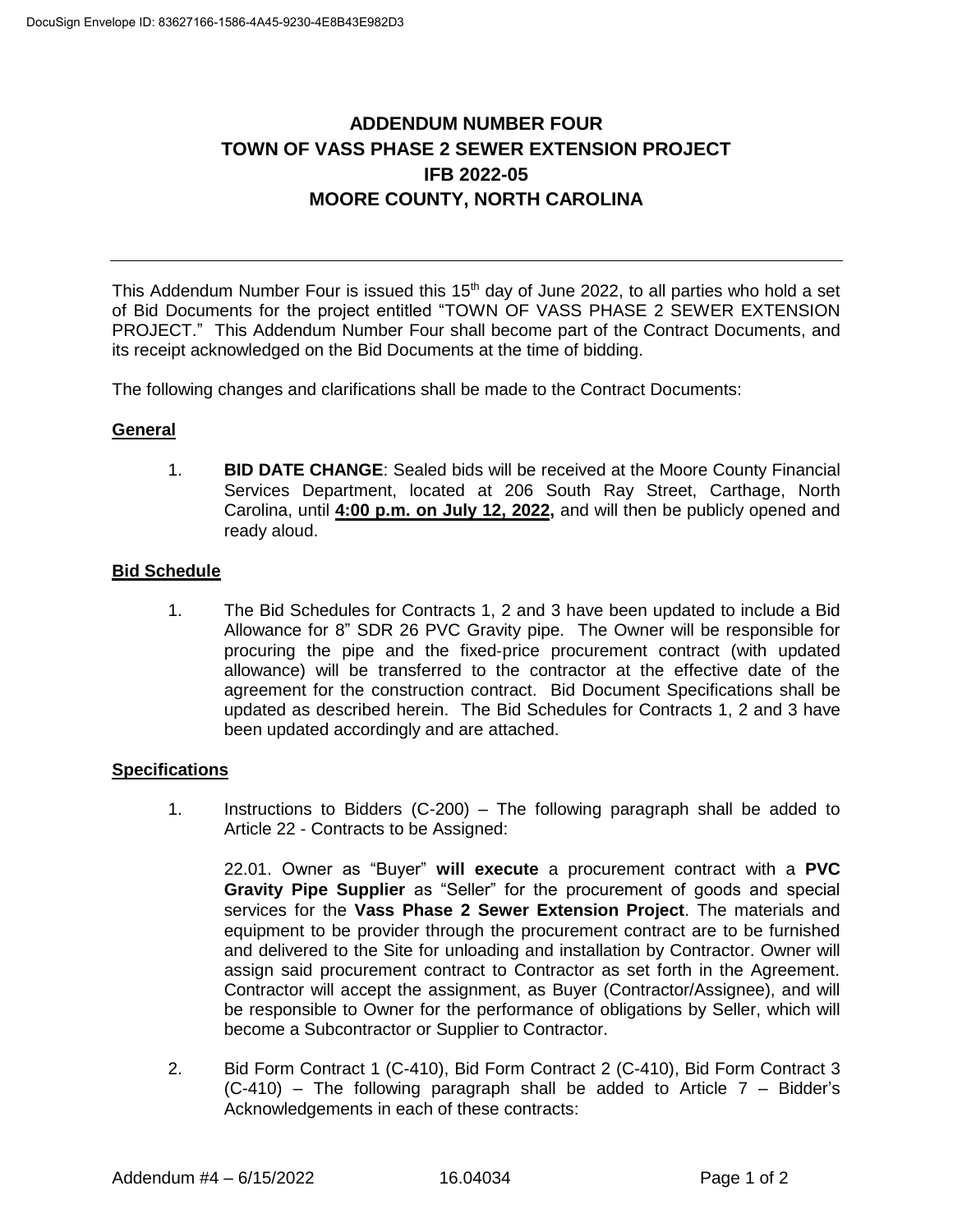# **ADDENDUM NUMBER FOUR TOWN OF VASS PHASE 2 SEWER EXTENSION PROJECT IFB 2022-05 MOORE COUNTY, NORTH CAROLINA**

This Addendum Number Four is issued this 15<sup>th</sup> day of June 2022, to all parties who hold a set of Bid Documents for the project entitled "TOWN OF VASS PHASE 2 SEWER EXTENSION PROJECT." This Addendum Number Four shall become part of the Contract Documents, and its receipt acknowledged on the Bid Documents at the time of bidding.

The following changes and clarifications shall be made to the Contract Documents:

# **General**

1. **BID DATE CHANGE**: Sealed bids will be received at the Moore County Financial Services Department, located at 206 South Ray Street, Carthage, North Carolina, until **4:00 p.m. on July 12, 2022,** and will then be publicly opened and ready aloud.

# **Bid Schedule**

1. The Bid Schedules for Contracts 1, 2 and 3 have been updated to include a Bid Allowance for 8" SDR 26 PVC Gravity pipe. The Owner will be responsible for procuring the pipe and the fixed-price procurement contract (with updated allowance) will be transferred to the contractor at the effective date of the agreement for the construction contract. Bid Document Specifications shall be updated as described herein. The Bid Schedules for Contracts 1, 2 and 3 have been updated accordingly and are attached.

# **Specifications**

1. Instructions to Bidders (C-200) – The following paragraph shall be added to Article 22 - Contracts to be Assigned:

22.01. Owner as "Buyer" **will execute** a procurement contract with a **PVC Gravity Pipe Supplier** as "Seller" for the procurement of goods and special services for the **Vass Phase 2 Sewer Extension Project**. The materials and equipment to be provider through the procurement contract are to be furnished and delivered to the Site for unloading and installation by Contractor. Owner will assign said procurement contract to Contractor as set forth in the Agreement. Contractor will accept the assignment, as Buyer (Contractor/Assignee), and will be responsible to Owner for the performance of obligations by Seller, which will become a Subcontractor or Supplier to Contractor.

2. Bid Form Contract 1 (C-410), Bid Form Contract 2 (C-410), Bid Form Contract 3  $(C-410)$  – The following paragraph shall be added to Article 7 – Bidder's Acknowledgements in each of these contracts: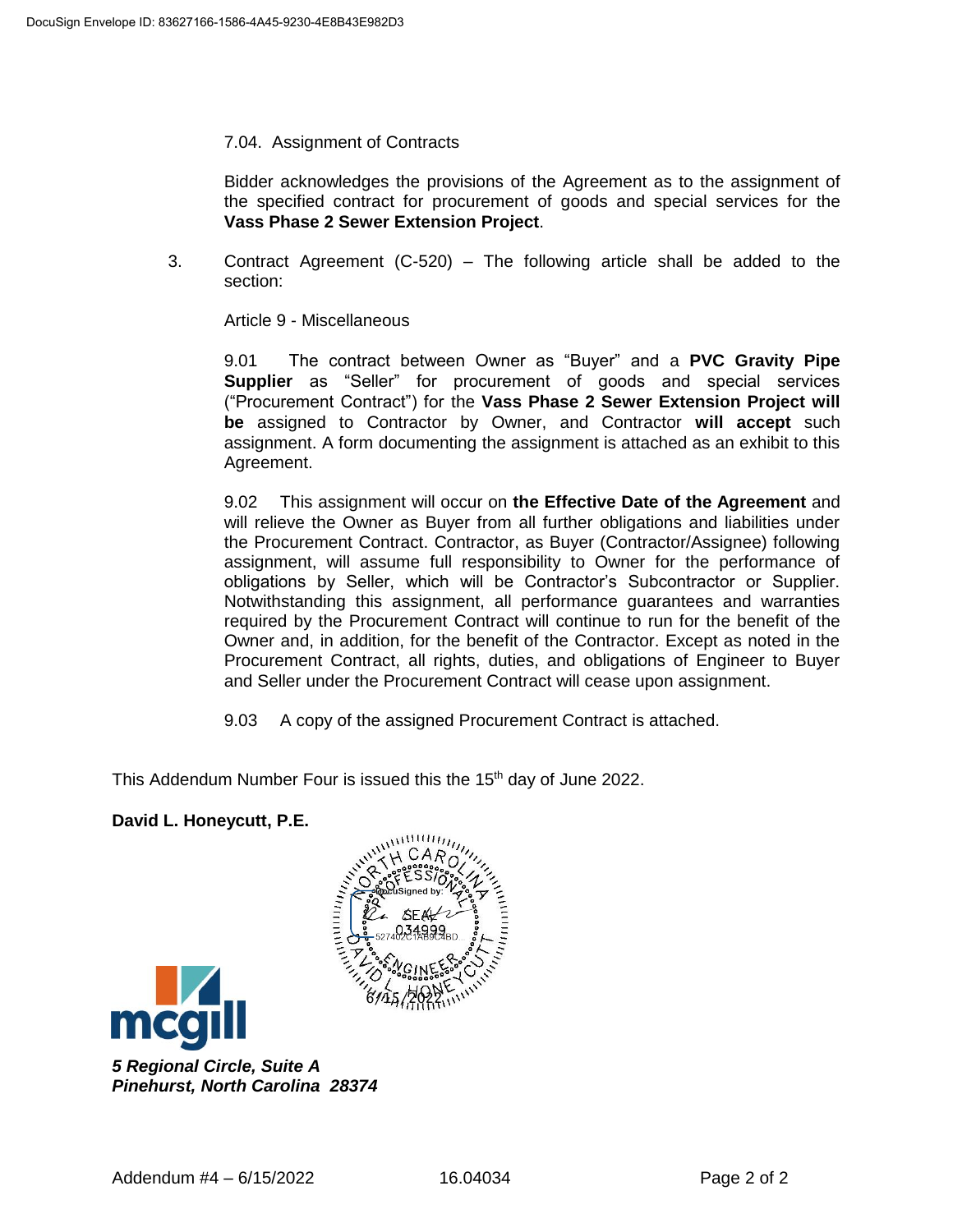7.04. Assignment of Contracts

Bidder acknowledges the provisions of the Agreement as to the assignment of the specified contract for procurement of goods and special services for the **Vass Phase 2 Sewer Extension Project**.

3. Contract Agreement (C-520) – The following article shall be added to the section:

Article 9 - Miscellaneous

9.01 The contract between Owner as "Buyer" and a **PVC Gravity Pipe Supplier** as "Seller" for procurement of goods and special services ("Procurement Contract") for the **Vass Phase 2 Sewer Extension Project will be** assigned to Contractor by Owner, and Contractor **will accept** such assignment. A form documenting the assignment is attached as an exhibit to this Agreement.

9.02 This assignment will occur on **the Effective Date of the Agreement** and will relieve the Owner as Buyer from all further obligations and liabilities under the Procurement Contract. Contractor, as Buyer (Contractor/Assignee) following assignment, will assume full responsibility to Owner for the performance of obligations by Seller, which will be Contractor's Subcontractor or Supplier. Notwithstanding this assignment, all performance guarantees and warranties required by the Procurement Contract will continue to run for the benefit of the Owner and, in addition, for the benefit of the Contractor. Except as noted in the Procurement Contract, all rights, duties, and obligations of Engineer to Buyer and Seller under the Procurement Contract will cease upon assignment.

9.03 A copy of the assigned Procurement Contract is attached.

This Addendum Number Four is issued this the 15<sup>th</sup> day of June 2022.

**David L. Honeycutt, P.E.**





*5 Regional Circle, Suite A Pinehurst, North Carolina 28374*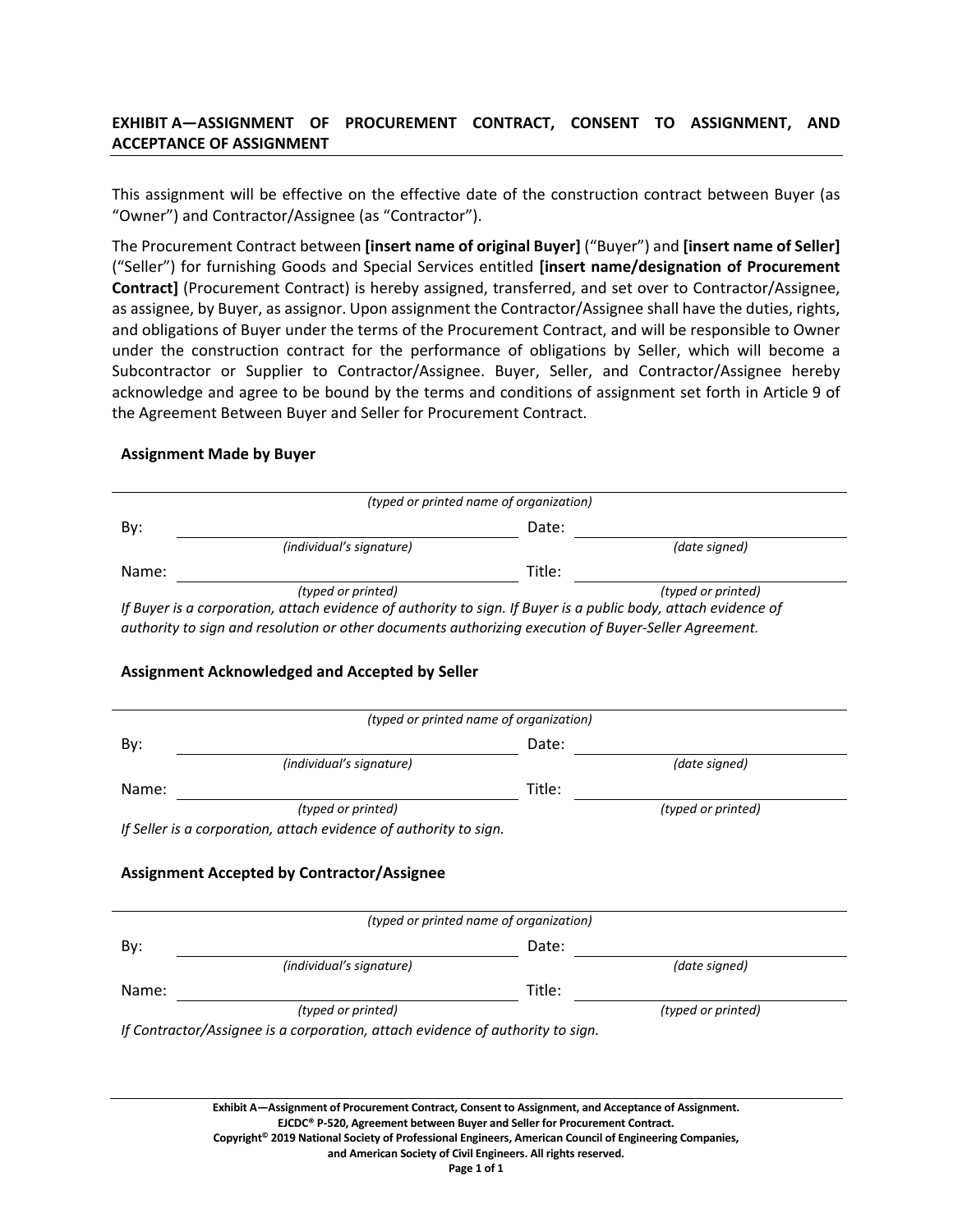# **EXHIBIT A—ASSIGNMENT OF PROCUREMENT CONTRACT, CONSENT TO ASSIGNMENT, AND ACCEPTANCE OF ASSIGNMENT**

This assignment will be effective on the effective date of the construction contract between Buyer (as "Owner") and Contractor/Assignee (as "Contractor").

The Procurement Contract between **[insert name of original Buyer]** ("Buyer") and **[insert name of Seller]** ("Seller") for furnishing Goods and Special Services entitled **[insert name/designation of Procurement Contract]** (Procurement Contract) is hereby assigned, transferred, and set over to Contractor/Assignee, as assignee, by Buyer, as assignor. Upon assignment the Contractor/Assignee shall have the duties, rights, and obligations of Buyer under the terms of the Procurement Contract, and will be responsible to Owner under the construction contract for the performance of obligations by Seller, which will become a Subcontractor or Supplier to Contractor/Assignee. Buyer, Seller, and Contractor/Assignee hereby acknowledge and agree to be bound by the terms and conditions of assignment set forth in Article 9 of the Agreement Between Buyer and Seller for Procurement Contract.

#### **Assignment Made by Buyer**

|       | (typed or printed name of organization)                                                                                                                                                                                                                                                                |        |                    |
|-------|--------------------------------------------------------------------------------------------------------------------------------------------------------------------------------------------------------------------------------------------------------------------------------------------------------|--------|--------------------|
| By:   |                                                                                                                                                                                                                                                                                                        | Date:  |                    |
|       | (individual's signature)                                                                                                                                                                                                                                                                               |        | (date signed)      |
| Name: |                                                                                                                                                                                                                                                                                                        | Title: |                    |
|       | (typed or printed)                                                                                                                                                                                                                                                                                     |        | (typed or printed) |
|       | If Buyer is a corporation, attach evidence of authority to sign. If Buyer is a public body, attach evidence of                                                                                                                                                                                         |        |                    |
|       | authority to sign and resolution or other documents authorizing execution of Buyer-Seller Agreement.                                                                                                                                                                                                   |        |                    |
|       | Assignment Acknowledged and Accepted by Seller                                                                                                                                                                                                                                                         |        |                    |
|       | (typed or printed name of organization)                                                                                                                                                                                                                                                                |        |                    |
| By:   |                                                                                                                                                                                                                                                                                                        | Date:  |                    |
|       | (individual's signature)                                                                                                                                                                                                                                                                               |        | (date signed)      |
| Name: |                                                                                                                                                                                                                                                                                                        | Title: |                    |
|       | (typed or printed)                                                                                                                                                                                                                                                                                     |        | (typed or printed) |
|       | If Seller is a corporation, attach evidence of authority to sign.                                                                                                                                                                                                                                      |        |                    |
|       | <b>Assignment Accepted by Contractor/Assignee</b>                                                                                                                                                                                                                                                      |        |                    |
|       | (typed or printed name of organization)                                                                                                                                                                                                                                                                |        |                    |
| By:   |                                                                                                                                                                                                                                                                                                        | Date:  |                    |
|       | (individual's signature)                                                                                                                                                                                                                                                                               |        | (date signed)      |
| Name: |                                                                                                                                                                                                                                                                                                        | Title: |                    |
|       | (typed or printed)                                                                                                                                                                                                                                                                                     |        | (typed or printed) |
|       | If Contractor/Assignee is a corporation, attach evidence of authority to sign.                                                                                                                                                                                                                         |        |                    |
|       |                                                                                                                                                                                                                                                                                                        |        |                    |
|       | Exhibit A-Assignment of Procurement Contract, Consent to Assignment, and Acceptance of Assignment.<br>EJCDC® P-520, Agreement between Buyer and Seller for Procurement Contract.<br>Copyright <sup>®</sup> 2019 National Society of Professional Engineers, American Council of Engineering Companies, |        |                    |

#### **and American Society of Civil Engineers. All rights reserved.**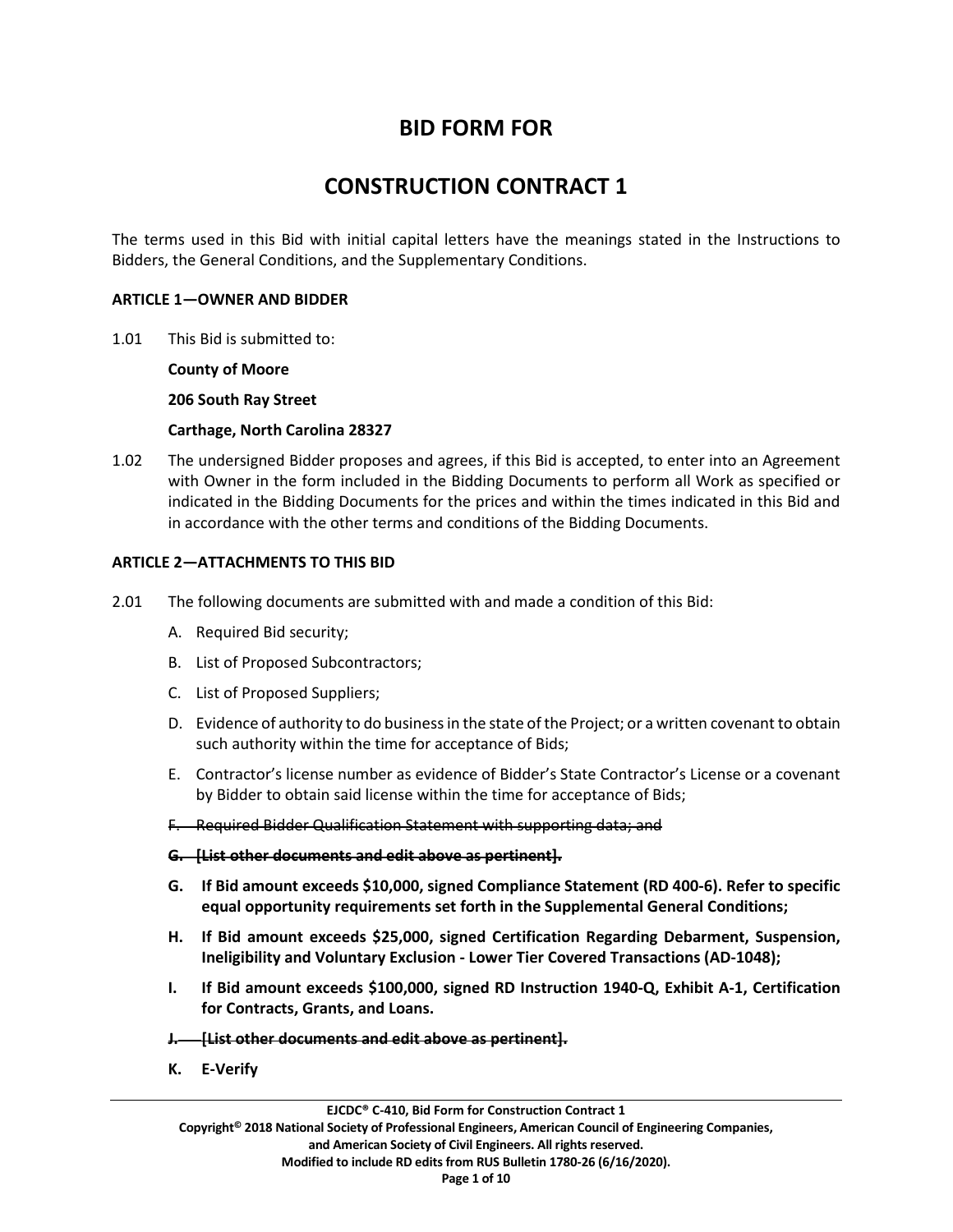# **BID FORM FOR**

# **CONSTRUCTION CONTRACT 1**

The terms used in this Bid with initial capital letters have the meanings stated in the Instructions to Bidders, the General Conditions, and the Supplementary Conditions.

#### **ARTICLE 1—OWNER AND BIDDER**

1.01 This Bid is submitted to:

**County of Moore**

**206 South Ray Street**

**Carthage, North Carolina 28327**

1.02 The undersigned Bidder proposes and agrees, if this Bid is accepted, to enter into an Agreement with Owner in the form included in the Bidding Documents to perform all Work as specified or indicated in the Bidding Documents for the prices and within the times indicated in this Bid and in accordance with the other terms and conditions of the Bidding Documents.

## **ARTICLE 2—ATTACHMENTS TO THIS BID**

- 2.01 The following documents are submitted with and made a condition of this Bid:
	- A. Required Bid security;
	- B. List of Proposed Subcontractors;
	- C. List of Proposed Suppliers;
	- D. Evidence of authority to do business in the state of the Project; or a written covenant to obtain such authority within the time for acceptance of Bids;
	- E. Contractor's license number as evidence of Bidder's State Contractor's License or a covenant by Bidder to obtain said license within the time for acceptance of Bids;
	- F. Required Bidder Qualification Statement with supporting data; and

#### **G. [List other documents and edit above as pertinent].**

- **G. If Bid amount exceeds \$10,000, signed Compliance Statement (RD 400-6). Refer to specific equal opportunity requirements set forth in the Supplemental General Conditions;**
- **H. If Bid amount exceeds \$25,000, signed Certification Regarding Debarment, Suspension, Ineligibility and Voluntary Exclusion - Lower Tier Covered Transactions (AD-1048);**
- **I. If Bid amount exceeds \$100,000, signed RD Instruction 1940-Q, Exhibit A-1, Certification for Contracts, Grants, and Loans.**
- **J. [List other documents and edit above as pertinent].**
- **K. E-Verify**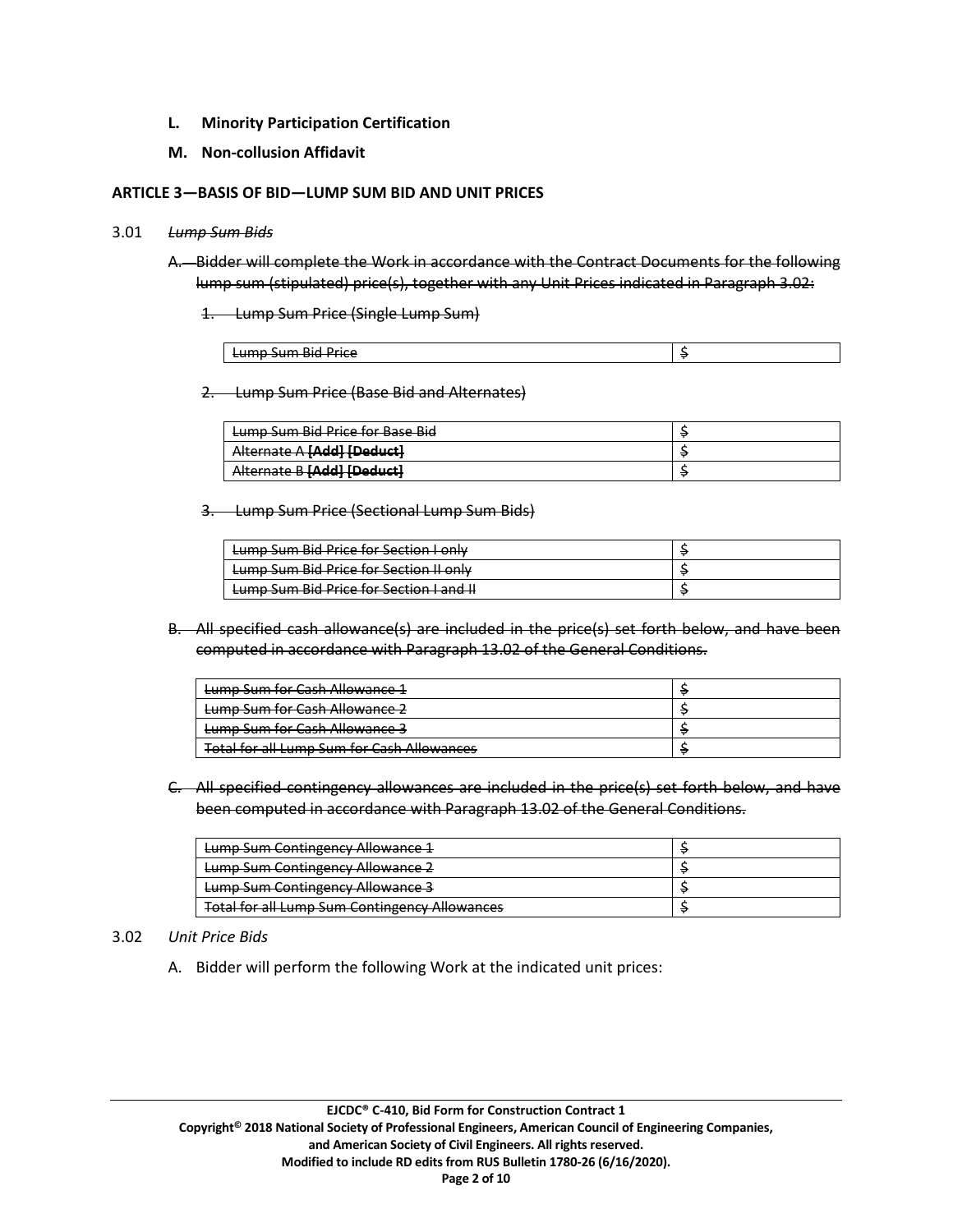- **L. Minority Participation Certification**
- **M. Non-collusion Affidavit**

#### **ARTICLE 3—BASIS OF BID—LUMP SUM BID AND UNIT PRICES**

#### 3.01 *Lump Sum Bids*

A. Bidder will complete the Work in accordance with the Contract Documents for the following lump sum (stipulated) price(s), together with any Unit Prices indicated in Paragraph 3.02:

1. Lump Sum Price (Single Lump Sum)

| <br>$\cdots$<br><b>Rid</b><br>Drica<br>.<br><del>cump sum più rmec</del> |  |
|--------------------------------------------------------------------------|--|

2. Lump Sum Price (Base Bid and Alternates)

| Lumn Sum Rid Drice for Rase Rid<br><del>camp sam bia i lite lui base biu</del>          |  |
|-----------------------------------------------------------------------------------------|--|
| Alternate A <b>[Add]</b> [Deduct]<br><del>Alternate A <b>Muur</b> I<b>veuut</b>ti</del> |  |
| <b>Starped IbbAl Reparation</b><br><del>Alternate <i>o</i> privat poeuveri</del>        |  |

3. Lump Sum Price (Sectional Lump Sum Bids)

| Lumn Sum Rid Drice for Section Lonly<br><del>camp sam bia rnce ior secuon i omy</del>        |  |
|----------------------------------------------------------------------------------------------|--|
| Lump Sum Bid Price for Section II only                                                       |  |
| Lumn Sum Rid Drice for Section Land II.<br><del>cump sum plu rince for section rand in</del> |  |

B. All specified cash allowance(s) are included in the price(s) set forth below, and have been computed in accordance with Paragraph 13.02 of the General Conditions.

| Lumn Sum for Cach Allowance 1<br><del>cump sunn ior cash Allowance 1</del>                         |  |
|----------------------------------------------------------------------------------------------------|--|
| Lumn Sum for Cach Allowance 2<br><del>camp sunnor cash Anowance z</del>                            |  |
| Lumn Sum for Cach Allowance 2<br><del>cump sum for cash Allowance s</del>                          |  |
| Total for all Lumn Sum for Cash Allowances<br><del>rotarior an camp sant für Cash Allowances</del> |  |

C. All specified contingency allowances are included in the price(s) set forth below, and have been computed in accordance with Paragraph 13.02 of the General Conditions.

| Lumn Sum Contingency Allowance 1<br><del>camp sum contingency Allowance 1</del> |  |
|---------------------------------------------------------------------------------|--|
| Lumn Sum Contingency Allowance 2<br><del>camp sum contingency Allowance 2</del> |  |
| <b>Lump Sum Contingency Allowance 3</b>                                         |  |
| <b>Total for all Lump Sum Contingency Allowances</b>                            |  |

#### 3.02 *Unit Price Bids*

A. Bidder will perform the following Work at the indicated unit prices: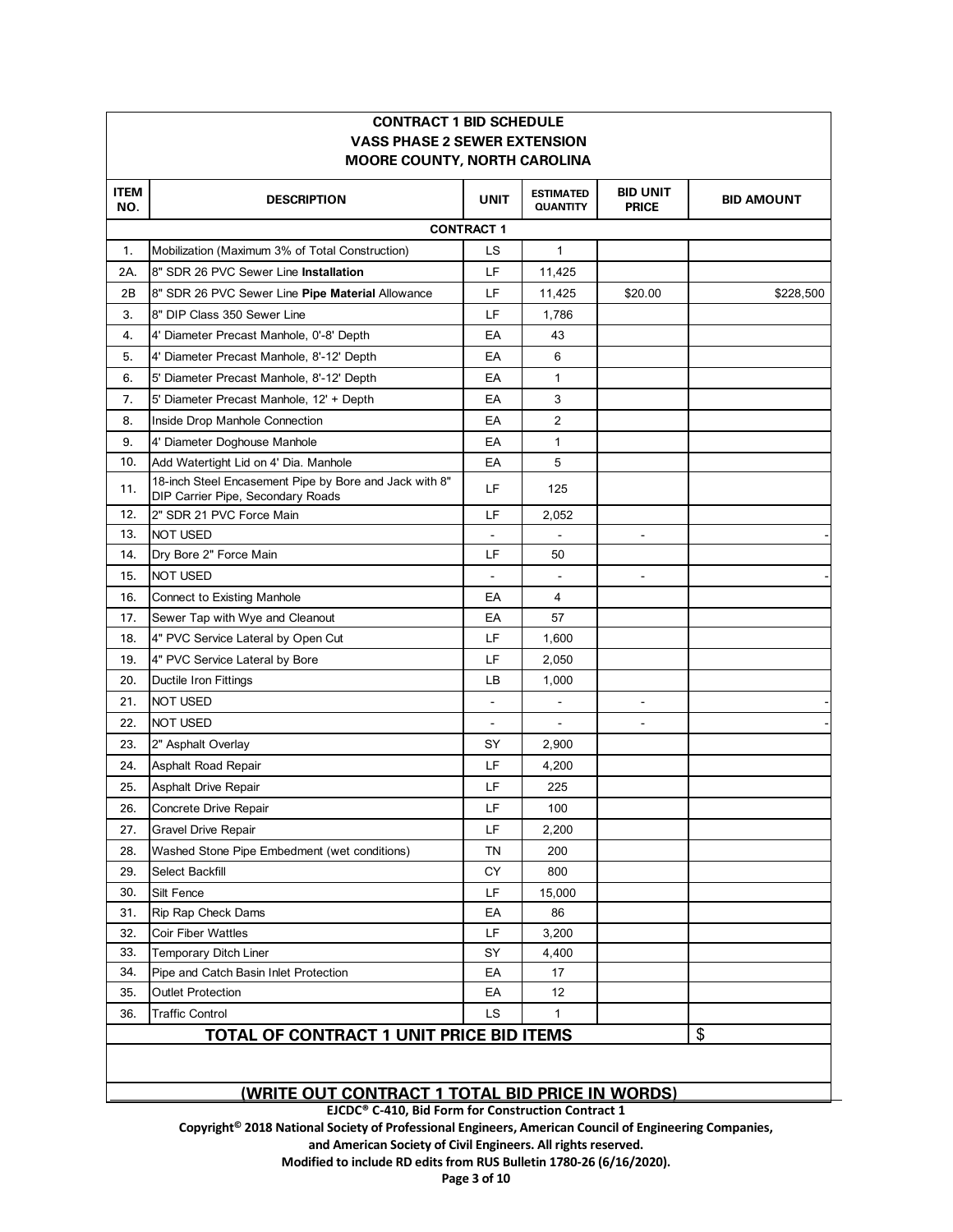|                                                 | <b>CONTRACT 1 BID SCHEDULE</b>                                                              |                |                                     |                                 |                   |  |  |  |
|-------------------------------------------------|---------------------------------------------------------------------------------------------|----------------|-------------------------------------|---------------------------------|-------------------|--|--|--|
|                                                 | <b>VASS PHASE 2 SEWER EXTENSION</b>                                                         |                |                                     |                                 |                   |  |  |  |
|                                                 | <b>MOORE COUNTY, NORTH CAROLINA</b>                                                         |                |                                     |                                 |                   |  |  |  |
| <b>ITEM</b><br>NO.                              | <b>DESCRIPTION</b>                                                                          | <b>UNIT</b>    | <b>ESTIMATED</b><br><b>QUANTITY</b> | <b>BID UNIT</b><br><b>PRICE</b> | <b>BID AMOUNT</b> |  |  |  |
|                                                 | <b>CONTRACT 1</b>                                                                           |                |                                     |                                 |                   |  |  |  |
| 1.                                              | Mobilization (Maximum 3% of Total Construction)                                             | LS.            | $\mathbf{1}$                        |                                 |                   |  |  |  |
| 2A.                                             | 8" SDR 26 PVC Sewer Line Installation                                                       | LF             | 11,425                              |                                 |                   |  |  |  |
| 2B                                              | 8" SDR 26 PVC Sewer Line Pipe Material Allowance                                            | LF             | 11,425                              | \$20.00                         | \$228,500         |  |  |  |
| 3.                                              | 8" DIP Class 350 Sewer Line                                                                 | LF             | 1,786                               |                                 |                   |  |  |  |
| 4.                                              | 4' Diameter Precast Manhole, 0'-8' Depth                                                    | EA             | 43                                  |                                 |                   |  |  |  |
| 5.                                              | 4' Diameter Precast Manhole, 8'-12' Depth                                                   | EA             | 6                                   |                                 |                   |  |  |  |
| 6.                                              | 5' Diameter Precast Manhole, 8'-12' Depth                                                   | EA             | $\mathbf{1}$                        |                                 |                   |  |  |  |
| 7.                                              | 5' Diameter Precast Manhole, 12' + Depth                                                    | EA             | 3                                   |                                 |                   |  |  |  |
| 8.                                              | Inside Drop Manhole Connection                                                              | EA             | 2                                   |                                 |                   |  |  |  |
| 9.                                              | 4' Diameter Doghouse Manhole                                                                | EA             | $\mathbf{1}$                        |                                 |                   |  |  |  |
| 10.                                             | Add Watertight Lid on 4' Dia. Manhole                                                       | EA             | 5                                   |                                 |                   |  |  |  |
| 11.                                             | 18-inch Steel Encasement Pipe by Bore and Jack with 8"<br>DIP Carrier Pipe, Secondary Roads | LF             | 125                                 |                                 |                   |  |  |  |
| 12.                                             | 2" SDR 21 PVC Force Main                                                                    | LF             | 2,052                               |                                 |                   |  |  |  |
| 13.                                             | <b>NOT USED</b>                                                                             |                |                                     | $\qquad \qquad \blacksquare$    |                   |  |  |  |
| 14.                                             | Dry Bore 2" Force Main                                                                      | LF             | 50                                  |                                 |                   |  |  |  |
| 15.                                             | <b>NOT USED</b>                                                                             |                |                                     |                                 |                   |  |  |  |
| 16.                                             | Connect to Existing Manhole                                                                 | EA             | 4                                   |                                 |                   |  |  |  |
| 17.                                             | Sewer Tap with Wye and Cleanout                                                             | EA             | 57                                  |                                 |                   |  |  |  |
| 18.                                             | 4" PVC Service Lateral by Open Cut                                                          | LF             | 1,600                               |                                 |                   |  |  |  |
| 19.                                             | 4" PVC Service Lateral by Bore                                                              | LF             | 2,050                               |                                 |                   |  |  |  |
| 20.                                             | Ductile Iron Fittings                                                                       | LВ             | 1,000                               |                                 |                   |  |  |  |
| 21.                                             | <b>NOT USED</b>                                                                             |                | $\blacksquare$                      | $\frac{1}{2}$                   |                   |  |  |  |
| 22.                                             | <b>NOT USED</b>                                                                             | $\blacksquare$ | $\blacksquare$                      |                                 |                   |  |  |  |
| 23.                                             | 2" Asphalt Overlay                                                                          | SY             | 2,900                               |                                 |                   |  |  |  |
| 24.                                             | Asphalt Road Repair                                                                         | LF             | 4,200                               |                                 |                   |  |  |  |
| 25.                                             | Asphalt Drive Repair                                                                        | LF             | 225                                 |                                 |                   |  |  |  |
| 26.                                             | Concrete Drive Repair                                                                       | LF             | 100                                 |                                 |                   |  |  |  |
| 27.                                             | Gravel Drive Repair                                                                         | LF             | 2,200                               |                                 |                   |  |  |  |
| 28.                                             | Washed Stone Pipe Embedment (wet conditions)                                                | ΤN             | 200                                 |                                 |                   |  |  |  |
| 29.                                             | Select Backfill                                                                             | CY             | 800                                 |                                 |                   |  |  |  |
| 30.                                             | Silt Fence                                                                                  | LF             | 15,000                              |                                 |                   |  |  |  |
| 31.                                             | Rip Rap Check Dams                                                                          | EA             | 86                                  |                                 |                   |  |  |  |
| 32.                                             | <b>Coir Fiber Wattles</b>                                                                   | LF             | 3,200                               |                                 |                   |  |  |  |
| 33.                                             | <b>Temporary Ditch Liner</b>                                                                | SY             | 4,400                               |                                 |                   |  |  |  |
| 34.                                             | Pipe and Catch Basin Inlet Protection                                                       | ЕA             | 17                                  |                                 |                   |  |  |  |
| 35.                                             | <b>Outlet Protection</b>                                                                    | EA             | 12                                  |                                 |                   |  |  |  |
| 36.                                             | <b>Traffic Control</b>                                                                      | LS             | $\mathbf{1}$                        |                                 |                   |  |  |  |
| <b>TOTAL OF CONTRACT 1 UNIT PRICE BID ITEMS</b> |                                                                                             |                |                                     |                                 | \$                |  |  |  |

٦

ſ

#### **(WRITE OUT CONTRACT 1 TOTAL BID PRICE IN WORDS)**

**EJCDC® C-410, Bid Form for Construction Contract 1** 

**Copyright© 2018 National Society of Professional Engineers, American Council of Engineering Companies,**

**and American Society of Civil Engineers. All rights reserved.** 

**Modified to include RD edits from RUS Bulletin 1780-26 (6/16/2020).**

**Page 3 of 10**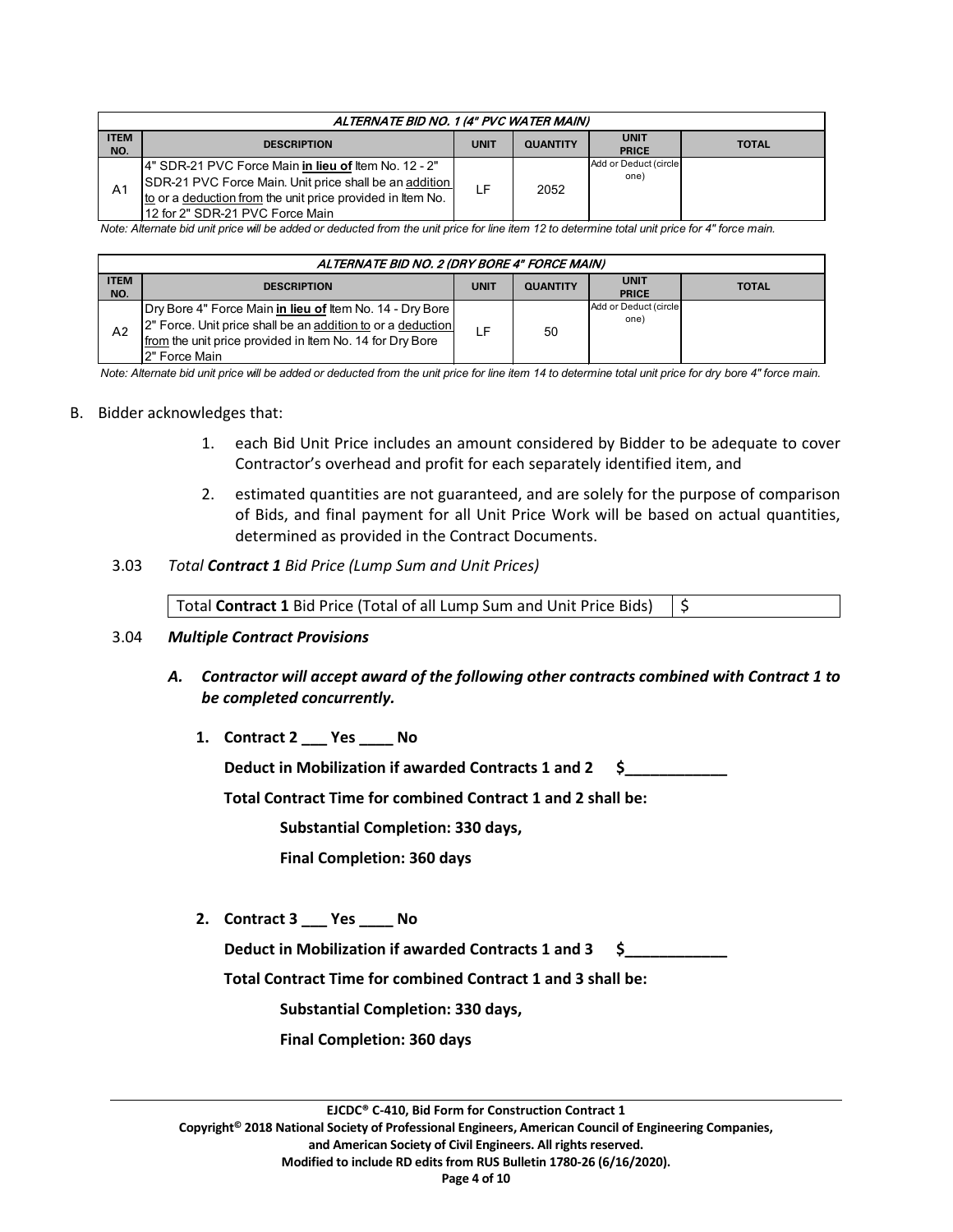| ALTERNATE BID NO. 1 (4" PVC WATER MAIN) |                                                                                                                                                                                                                  |             |                 |                               |              |  |
|-----------------------------------------|------------------------------------------------------------------------------------------------------------------------------------------------------------------------------------------------------------------|-------------|-----------------|-------------------------------|--------------|--|
| <b>ITEM</b><br>NO.                      | <b>DESCRIPTION</b>                                                                                                                                                                                               | <b>UNIT</b> | <b>QUANTITY</b> | <b>UNIT</b><br><b>PRICE</b>   | <b>TOTAL</b> |  |
| A1                                      | 14" SDR-21 PVC Force Main in lieu of Item No. 12 - 2"<br>SDR-21 PVC Force Main. Unit price shall be an addition<br>to or a deduction from the unit price provided in Item No.<br>12 for 2" SDR-21 PVC Force Main | l F         | 2052            | Add or Deduct (circle<br>one) |              |  |

*Note: Alternate bid unit price will be added or deducted from the unit price for line item 12 to determine total unit price for 4" force main.*

| ALTERNATE BID NO. 2 (DRY BORE 4" FORCE MAIN) |                                                                                                                                                                                                        |             |                 |                               |              |  |
|----------------------------------------------|--------------------------------------------------------------------------------------------------------------------------------------------------------------------------------------------------------|-------------|-----------------|-------------------------------|--------------|--|
| <b>ITEM</b><br>NO.                           | <b>DESCRIPTION</b>                                                                                                                                                                                     | <b>UNIT</b> | <b>QUANTITY</b> | <b>UNIT</b><br><b>PRICE</b>   | <b>TOTAL</b> |  |
| A <sub>2</sub>                               | Dry Bore 4" Force Main in lieu of Item No. 14 - Dry Bore  <br>2" Force. Unit price shall be an addition to or a deduction<br>from the unit price provided in Item No. 14 for Dry Bore<br>2" Force Main |             | 50              | Add or Deduct (circle<br>one) |              |  |

*Note: Alternate bid unit price will be added or deducted from the unit price for line item 14 to determine total unit price for dry bore 4" force main.*

#### B. Bidder acknowledges that:

- 1. each Bid Unit Price includes an amount considered by Bidder to be adequate to cover Contractor's overhead and profit for each separately identified item, and
- 2. estimated quantities are not guaranteed, and are solely for the purpose of comparison of Bids, and final payment for all Unit Price Work will be based on actual quantities, determined as provided in the Contract Documents.

#### 3.03 *Total Contract 1 Bid Price (Lump Sum and Unit Prices)*

| Total Contract 1 Bid Price (Total of all Lump Sum and Unit Price Bids) $\frac{1}{5}$ |  |
|--------------------------------------------------------------------------------------|--|
|--------------------------------------------------------------------------------------|--|

#### 3.04 *Multiple Contract Provisions*

- *A. Contractor will accept award of the following other contracts combined with Contract 1 to be completed concurrently.*
	- **1. Contract 2 \_\_\_ Yes \_\_\_\_ No**

**Deduct in Mobilization if awarded Contracts 1 and 2 \$\_\_\_\_\_\_\_\_\_\_\_\_**

**Total Contract Time for combined Contract 1 and 2 shall be:** 

**Substantial Completion: 330 days,** 

**Final Completion: 360 days**

**2. Contract 3 \_\_\_ Yes \_\_\_\_ No**

Deduct in Mobilization if awarded Contracts 1 and 3 \$

**Total Contract Time for combined Contract 1 and 3 shall be:** 

**Substantial Completion: 330 days,** 

**Final Completion: 360 days**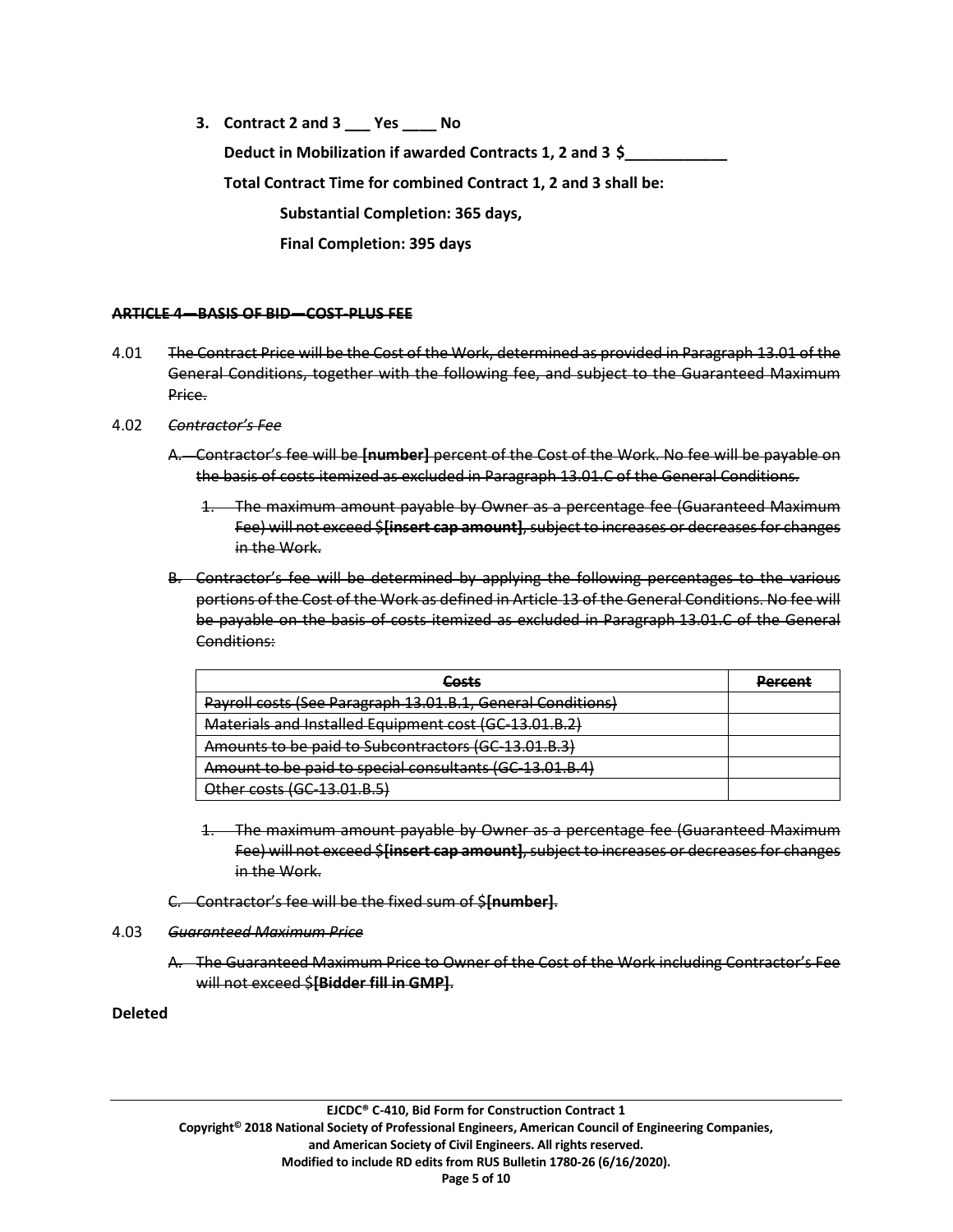**3. Contract 2 and 3 \_\_\_ Yes \_\_\_\_ No Deduct in Mobilization if awarded Contracts 1, 2 and 3 \$\_\_\_\_\_\_\_\_\_\_\_\_ Total Contract Time for combined Contract 1, 2 and 3 shall be: Substantial Completion: 365 days, Final Completion: 395 days**

#### **ARTICLE 4—BASIS OF BID—COST-PLUS FEE**

- 4.01 The Contract Price will be the Cost of the Work, determined as provided in Paragraph 13.01 of the General Conditions, together with the following fee, and subject to the Guaranteed Maximum Price.
- 4.02 *Contractor's Fee*
	- A. Contractor's fee will be **[number]** percent of the Cost of the Work. No fee will be payable on the basis of costs itemized as excluded in Paragraph 13.01.C of the General Conditions.
		- 1. The maximum amount payable by Owner as a percentage fee (Guaranteed Maximum Fee) will not exceed \$**[insert cap amount]**, subject to increases or decreases for changes in the Work.
	- B. Contractor's fee will be determined by applying the following percentages to the various portions of the Cost of the Work as defined in Article 13 of the General Conditions. No fee will be payable on the basis of costs itemized as excluded in Paragraph 13.01.C of the General Conditions:

| Cacte<br>aus es                                                         | Darrant |
|-------------------------------------------------------------------------|---------|
| Payroll costs (See Paragraph 13.01.B.1, General Conditions)             |         |
| Materials and Installed Equipment cost (GC-13.01.B.2)                   |         |
| Amounts to be paid to Subcontractors (GC-13.01.B.3)                     |         |
| Amount to be paid to special consultants (GC-13.01.B.4)                 |         |
| <u>Other costs (CC-12 01 R 5)</u><br><del>101 00313 100 13.01.D.J</del> |         |

- 1. The maximum amount payable by Owner as a percentage fee (Guaranteed Maximum Fee) will not exceed \$**[insert cap amount]**, subject to increases or decreases for changes in the Work.
- C. Contractor's fee will be the fixed sum of \$**[number]**.

## 4.03 *Guaranteed Maximum Price*

A. The Guaranteed Maximum Price to Owner of the Cost of the Work including Contractor's Fee will not exceed \$**[Bidder fill in GMP]**.

# **Deleted**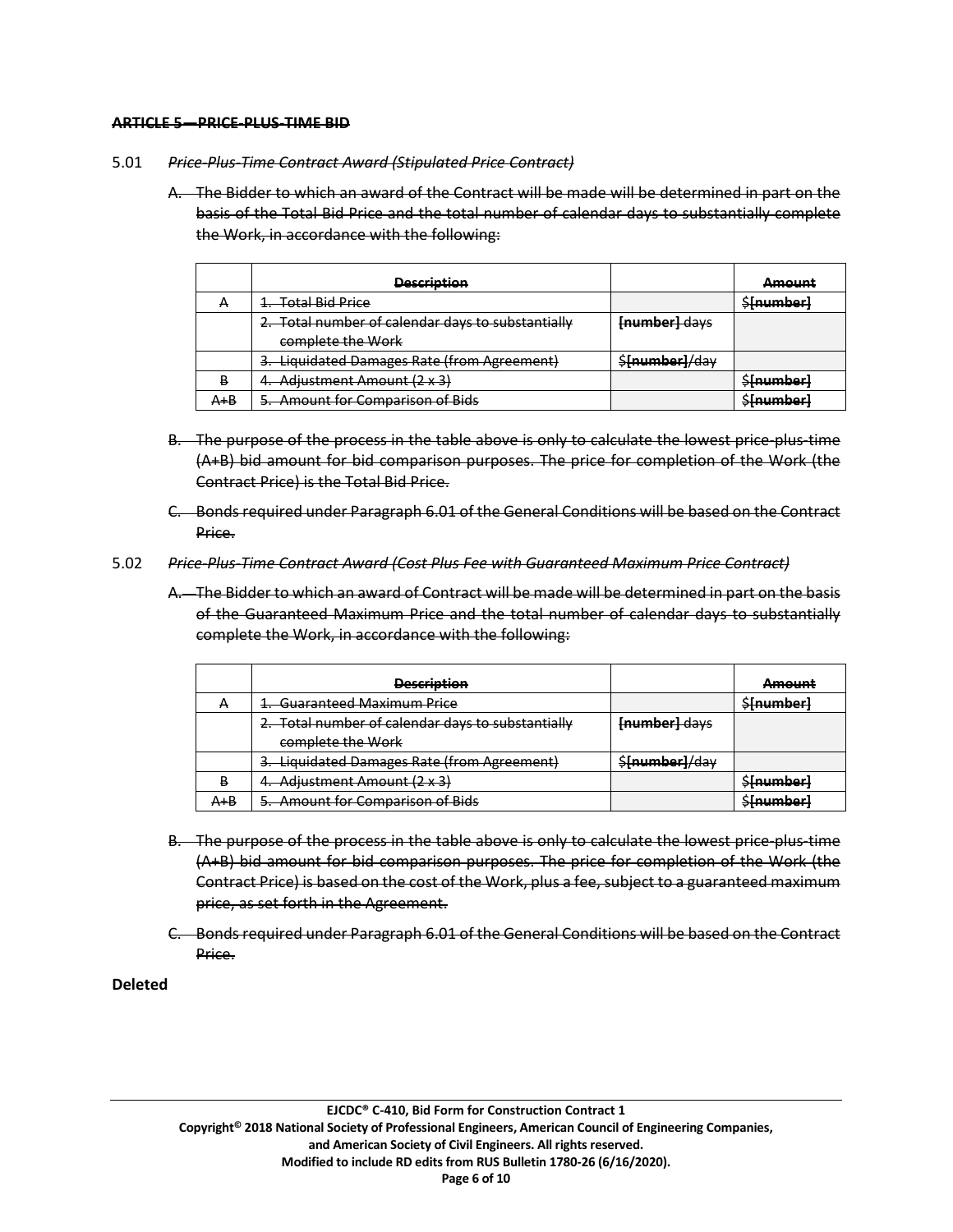#### **ARTICLE 5—PRICE-PLUS-TIME BID**

#### 5.01 *Price-Plus-Time Contract Award (Stipulated Price Contract)*

A. The Bidder to which an award of the Contract will be made will be determined in part on the basis of the Total Bid Price and the total number of calendar days to substantially complete the Work, in accordance with the following:

|                | <b>Description</b>                                |                | <b>Amount</b>    |
|----------------|---------------------------------------------------|----------------|------------------|
| $\overline{ }$ | 1. Total Bid Price                                |                | <b>S[number]</b> |
|                | 2. Total number of calendar days to substantially | [number] days  |                  |
|                | complete the Work                                 |                |                  |
|                | 3. Liquidated Damages Rate (from Agreement)       | \$[number]/day |                  |
| D              | 4. Adjustment Amount (2 x 3)                      |                | \$[number]       |
| $A + B$        | 5. Amount for Comparison of Bids                  |                | \$[number]       |

- B. The purpose of the process in the table above is only to calculate the lowest price-plus-time (A+B) bid amount for bid comparison purposes. The price for completion of the Work (the Contract Price) is the Total Bid Price.
- C. Bonds required under Paragraph 6.01 of the General Conditions will be based on the Contract Price.
- 5.02 *Price-Plus-Time Contract Award (Cost Plus Fee with Guaranteed Maximum Price Contract)*
	- A. The Bidder to which an award of Contract will be made will be determined in part on the basis of the Guaranteed Maximum Price and the total number of calendar days to substantially complete the Work, in accordance with the following:

|                | <b>Description</b>                                |                | <b>Amount</b>   |
|----------------|---------------------------------------------------|----------------|-----------------|
| $\overline{ }$ | 1. Guaranteed Maximum Price                       |                | <b>Sfnumber</b> |
|                | 2. Total number of calendar days to substantially | [number] days  |                 |
|                | complete the Work                                 |                |                 |
|                | 3. Liquidated Damages Rate (from Agreement)       | \$[number]/day |                 |
| D<br>. .       | 4. Adjustment Amount (2 x 3)                      |                | \$[number]      |
| A+B            | 5. Amount for Comparison of Bids                  |                | \$[number]      |

- B. The purpose of the process in the table above is only to calculate the lowest price-plus-time (A+B) bid amount for bid comparison purposes. The price for completion of the Work (the Contract Price) is based on the cost of the Work, plus a fee, subject to a guaranteed maximum price, as set forth in the Agreement.
- C. Bonds required under Paragraph 6.01 of the General Conditions will be based on the Contract Price.

# **Deleted**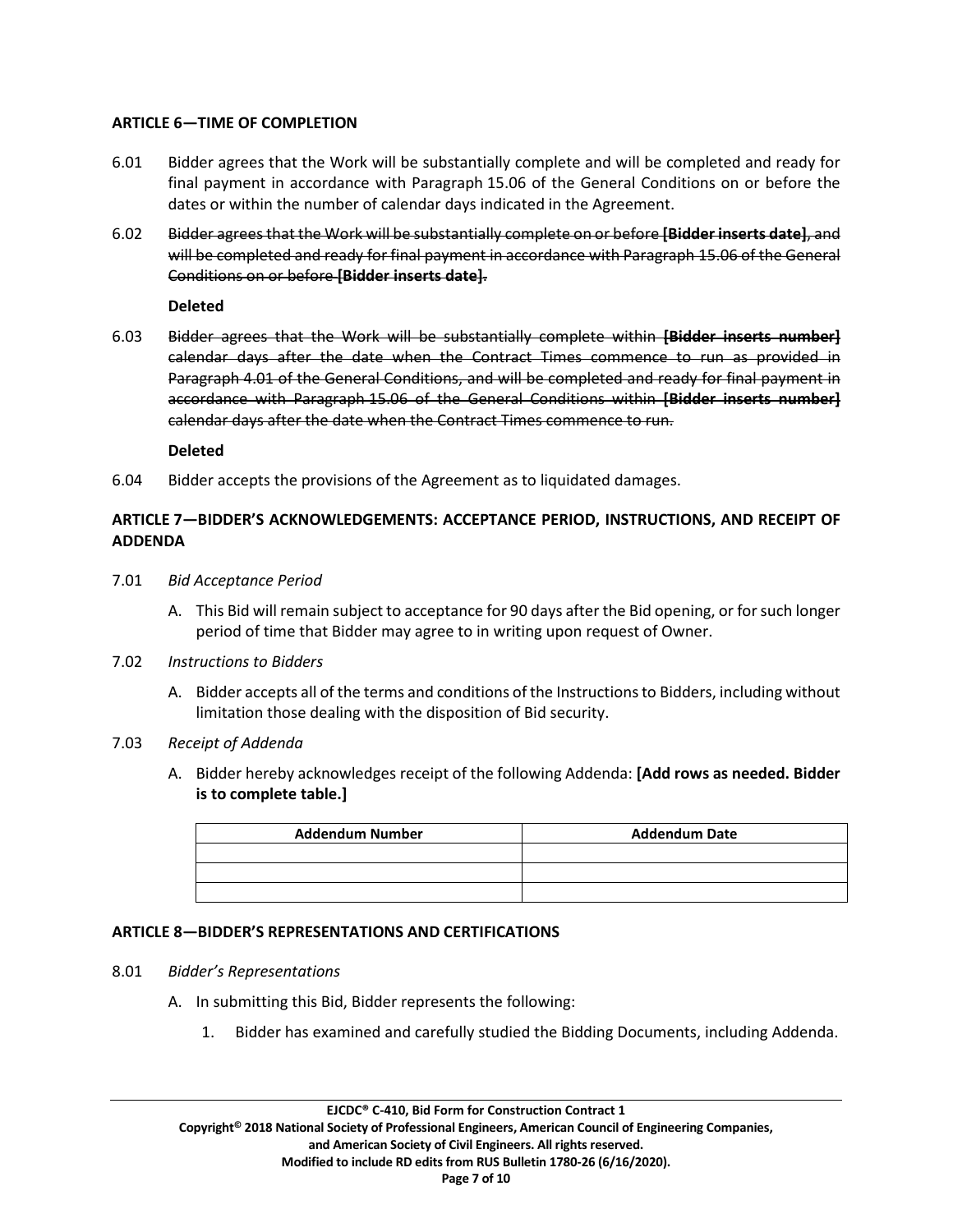# **ARTICLE 6—TIME OF COMPLETION**

- 6.01 Bidder agrees that the Work will be substantially complete and will be completed and ready for final payment in accordance with Paragraph 15.06 of the General Conditions on or before the dates or within the number of calendar days indicated in the Agreement.
- 6.02 Bidder agrees that the Work will be substantially complete on or before **[Bidder inserts date]**, and will be completed and ready for final payment in accordance with Paragraph 15.06 of the General Conditions on or before **[Bidder inserts date]**.

**Deleted**

6.03 Bidder agrees that the Work will be substantially complete within **[Bidder inserts number]** calendar days after the date when the Contract Times commence to run as provided in Paragraph 4.01 of the General Conditions, and will be completed and ready for final payment in accordance with Paragraph 15.06 of the General Conditions within **[Bidder inserts number]** calendar days after the date when the Contract Times commence to run.

**Deleted**

6.04 Bidder accepts the provisions of the Agreement as to liquidated damages.

# **ARTICLE 7—BIDDER'S ACKNOWLEDGEMENTS: ACCEPTANCE PERIOD, INSTRUCTIONS, AND RECEIPT OF ADDENDA**

- 7.01 *Bid Acceptance Period*
	- A. This Bid will remain subject to acceptance for 90 days after the Bid opening, or for such longer period of time that Bidder may agree to in writing upon request of Owner.
- 7.02 *Instructions to Bidders*
	- A. Bidder accepts all of the terms and conditions of the Instructions to Bidders, including without limitation those dealing with the disposition of Bid security.
- 7.03 *Receipt of Addenda*
	- A. Bidder hereby acknowledges receipt of the following Addenda: **[Add rows as needed. Bidder is to complete table.]**

| <b>Addendum Number</b> | <b>Addendum Date</b> |
|------------------------|----------------------|
|                        |                      |
|                        |                      |
|                        |                      |

## **ARTICLE 8—BIDDER'S REPRESENTATIONS AND CERTIFICATIONS**

- 8.01 *Bidder's Representations*
	- A. In submitting this Bid, Bidder represents the following:
		- 1. Bidder has examined and carefully studied the Bidding Documents, including Addenda.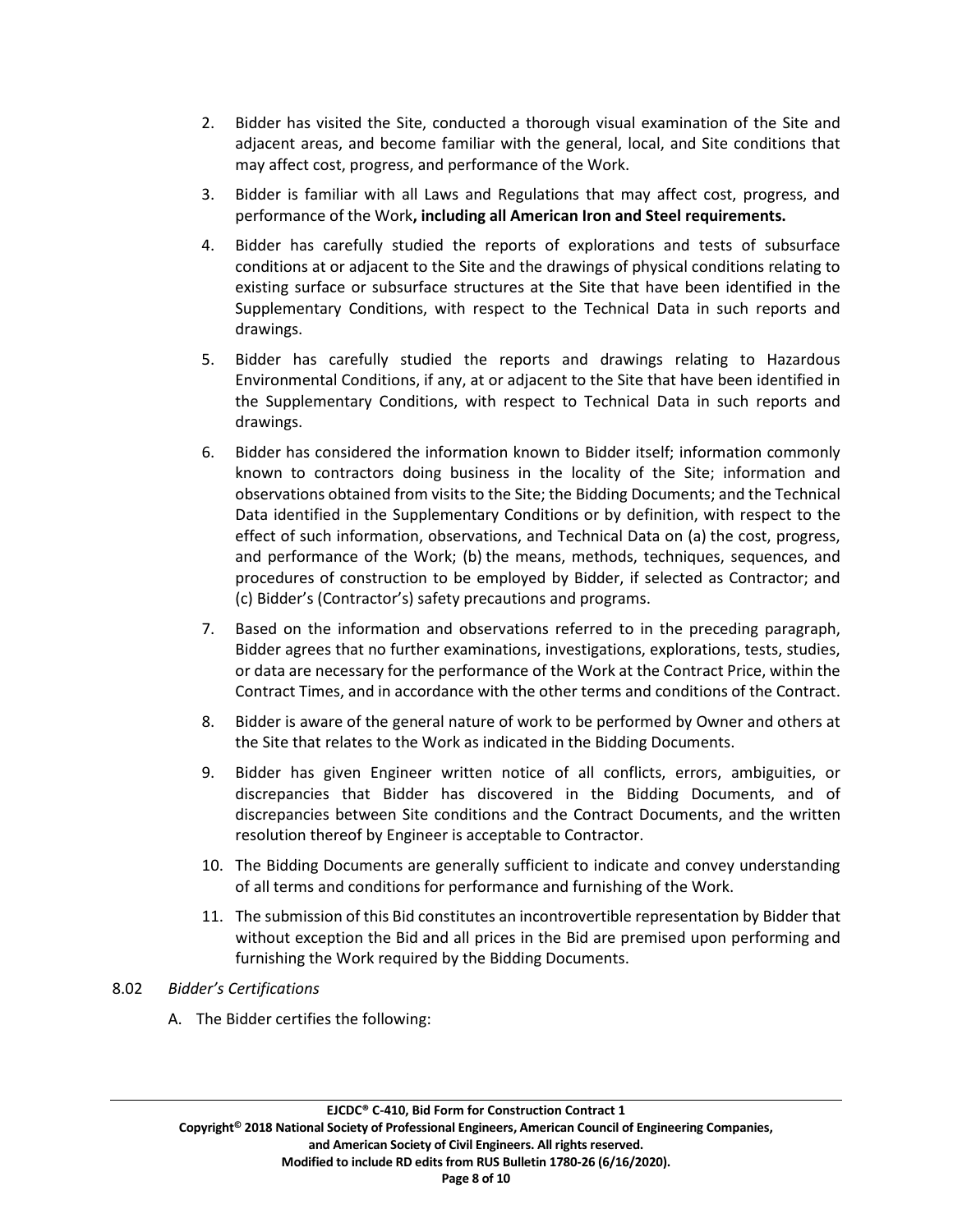- 2. Bidder has visited the Site, conducted a thorough visual examination of the Site and adjacent areas, and become familiar with the general, local, and Site conditions that may affect cost, progress, and performance of the Work.
- 3. Bidder is familiar with all Laws and Regulations that may affect cost, progress, and performance of the Work**, including all American Iron and Steel requirements.**
- 4. Bidder has carefully studied the reports of explorations and tests of subsurface conditions at or adjacent to the Site and the drawings of physical conditions relating to existing surface or subsurface structures at the Site that have been identified in the Supplementary Conditions, with respect to the Technical Data in such reports and drawings.
- 5. Bidder has carefully studied the reports and drawings relating to Hazardous Environmental Conditions, if any, at or adjacent to the Site that have been identified in the Supplementary Conditions, with respect to Technical Data in such reports and drawings.
- 6. Bidder has considered the information known to Bidder itself; information commonly known to contractors doing business in the locality of the Site; information and observations obtained from visits to the Site; the Bidding Documents; and the Technical Data identified in the Supplementary Conditions or by definition, with respect to the effect of such information, observations, and Technical Data on (a) the cost, progress, and performance of the Work; (b) the means, methods, techniques, sequences, and procedures of construction to be employed by Bidder, if selected as Contractor; and (c) Bidder's (Contractor's) safety precautions and programs.
- 7. Based on the information and observations referred to in the preceding paragraph, Bidder agrees that no further examinations, investigations, explorations, tests, studies, or data are necessary for the performance of the Work at the Contract Price, within the Contract Times, and in accordance with the other terms and conditions of the Contract.
- 8. Bidder is aware of the general nature of work to be performed by Owner and others at the Site that relates to the Work as indicated in the Bidding Documents.
- 9. Bidder has given Engineer written notice of all conflicts, errors, ambiguities, or discrepancies that Bidder has discovered in the Bidding Documents, and of discrepancies between Site conditions and the Contract Documents, and the written resolution thereof by Engineer is acceptable to Contractor.
- 10. The Bidding Documents are generally sufficient to indicate and convey understanding of all terms and conditions for performance and furnishing of the Work.
- 11. The submission of this Bid constitutes an incontrovertible representation by Bidder that without exception the Bid and all prices in the Bid are premised upon performing and furnishing the Work required by the Bidding Documents.

## 8.02 *Bidder's Certifications*

A. The Bidder certifies the following: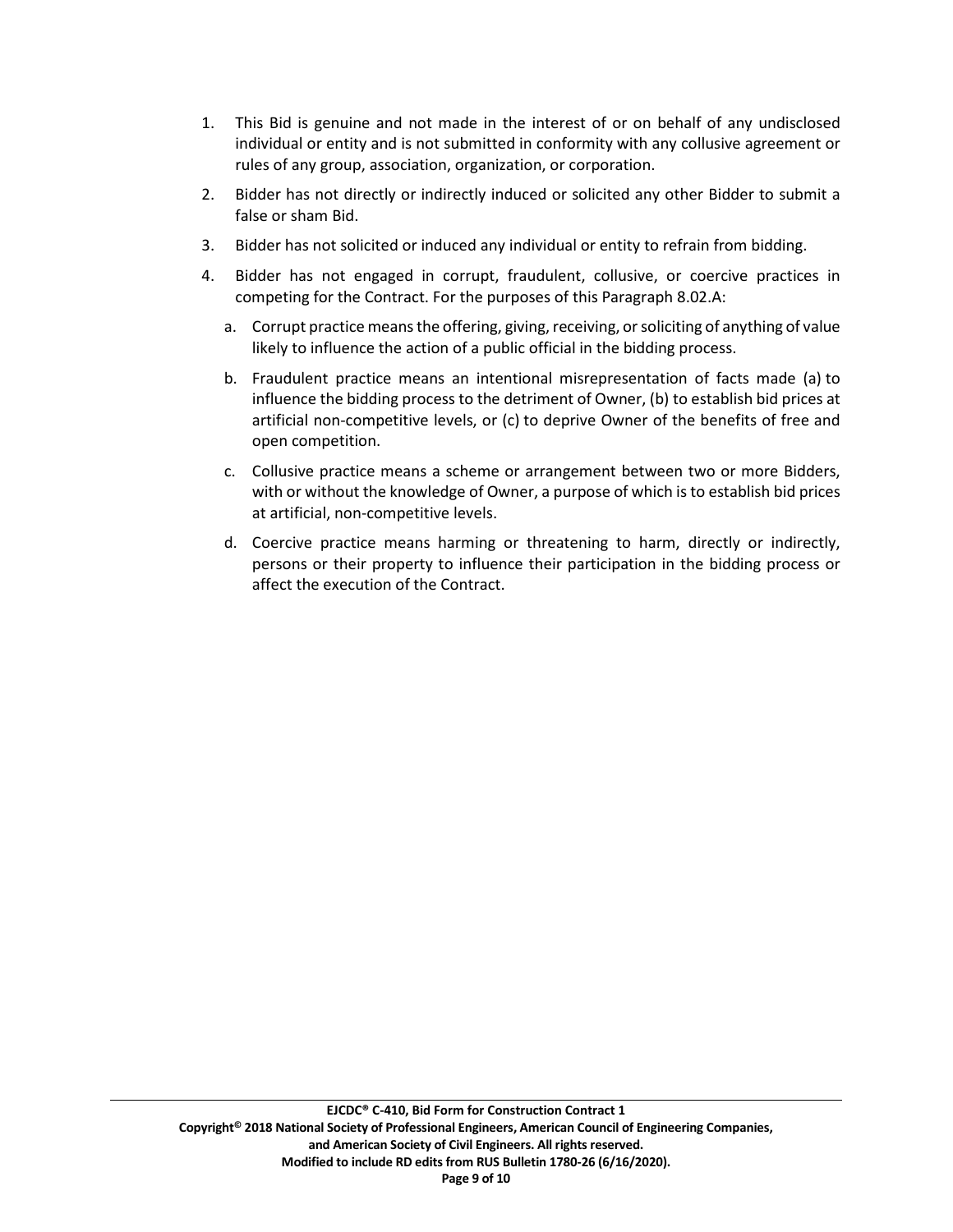- 1. This Bid is genuine and not made in the interest of or on behalf of any undisclosed individual or entity and is not submitted in conformity with any collusive agreement or rules of any group, association, organization, or corporation.
- 2. Bidder has not directly or indirectly induced or solicited any other Bidder to submit a false or sham Bid.
- 3. Bidder has not solicited or induced any individual or entity to refrain from bidding.
- 4. Bidder has not engaged in corrupt, fraudulent, collusive, or coercive practices in competing for the Contract. For the purposes of this Paragraph 8.02.A:
	- a. Corrupt practice meansthe offering, giving, receiving, or soliciting of anything of value likely to influence the action of a public official in the bidding process.
	- b. Fraudulent practice means an intentional misrepresentation of facts made (a) to influence the bidding process to the detriment of Owner, (b) to establish bid prices at artificial non-competitive levels, or (c) to deprive Owner of the benefits of free and open competition.
	- c. Collusive practice means a scheme or arrangement between two or more Bidders, with or without the knowledge of Owner, a purpose of which is to establish bid prices at artificial, non-competitive levels.
	- d. Coercive practice means harming or threatening to harm, directly or indirectly, persons or their property to influence their participation in the bidding process or affect the execution of the Contract.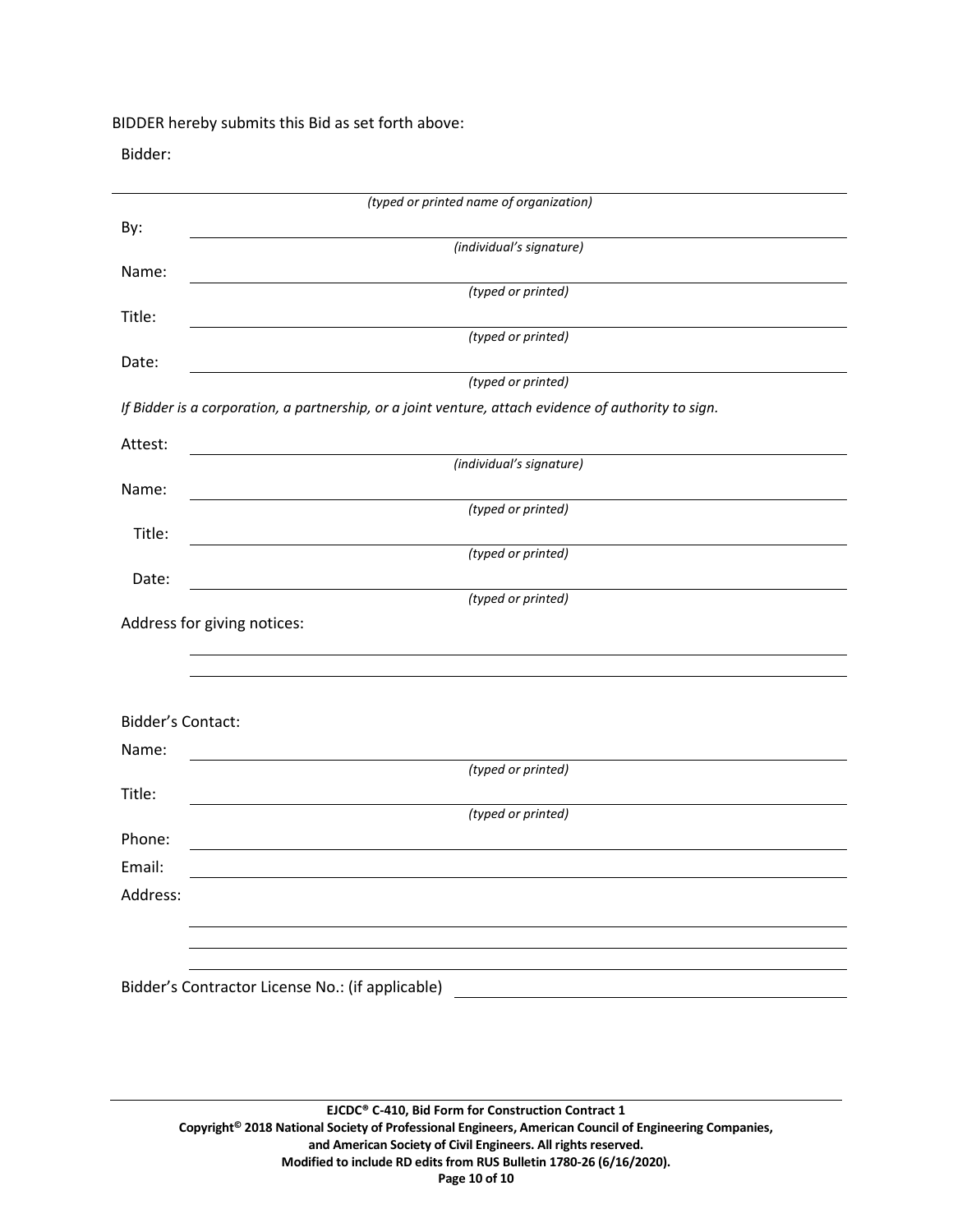BIDDER hereby submits this Bid as set forth above:

Bidder:

|                          | (typed or printed name of organization)                                                              |
|--------------------------|------------------------------------------------------------------------------------------------------|
| By:                      |                                                                                                      |
|                          | (individual's signature)                                                                             |
| Name:                    | (typed or printed)                                                                                   |
| Title:                   |                                                                                                      |
|                          | (typed or printed)                                                                                   |
| Date:                    |                                                                                                      |
|                          | (typed or printed)                                                                                   |
|                          | If Bidder is a corporation, a partnership, or a joint venture, attach evidence of authority to sign. |
| Attest:                  |                                                                                                      |
|                          | (individual's signature)                                                                             |
| Name:                    | (typed or printed)                                                                                   |
| Title:                   |                                                                                                      |
|                          | (typed or printed)                                                                                   |
| Date:                    |                                                                                                      |
|                          | (typed or printed)                                                                                   |
|                          | Address for giving notices:                                                                          |
|                          |                                                                                                      |
|                          |                                                                                                      |
| <b>Bidder's Contact:</b> |                                                                                                      |
| Name:                    |                                                                                                      |
|                          | (typed or printed)                                                                                   |
| Title:                   |                                                                                                      |
|                          | (typed or printed)                                                                                   |
| Phone:                   |                                                                                                      |
| Email:                   |                                                                                                      |
| Address:                 |                                                                                                      |
|                          |                                                                                                      |
|                          |                                                                                                      |
|                          | Bidder's Contractor License No.: (if applicable)                                                     |
|                          |                                                                                                      |
|                          |                                                                                                      |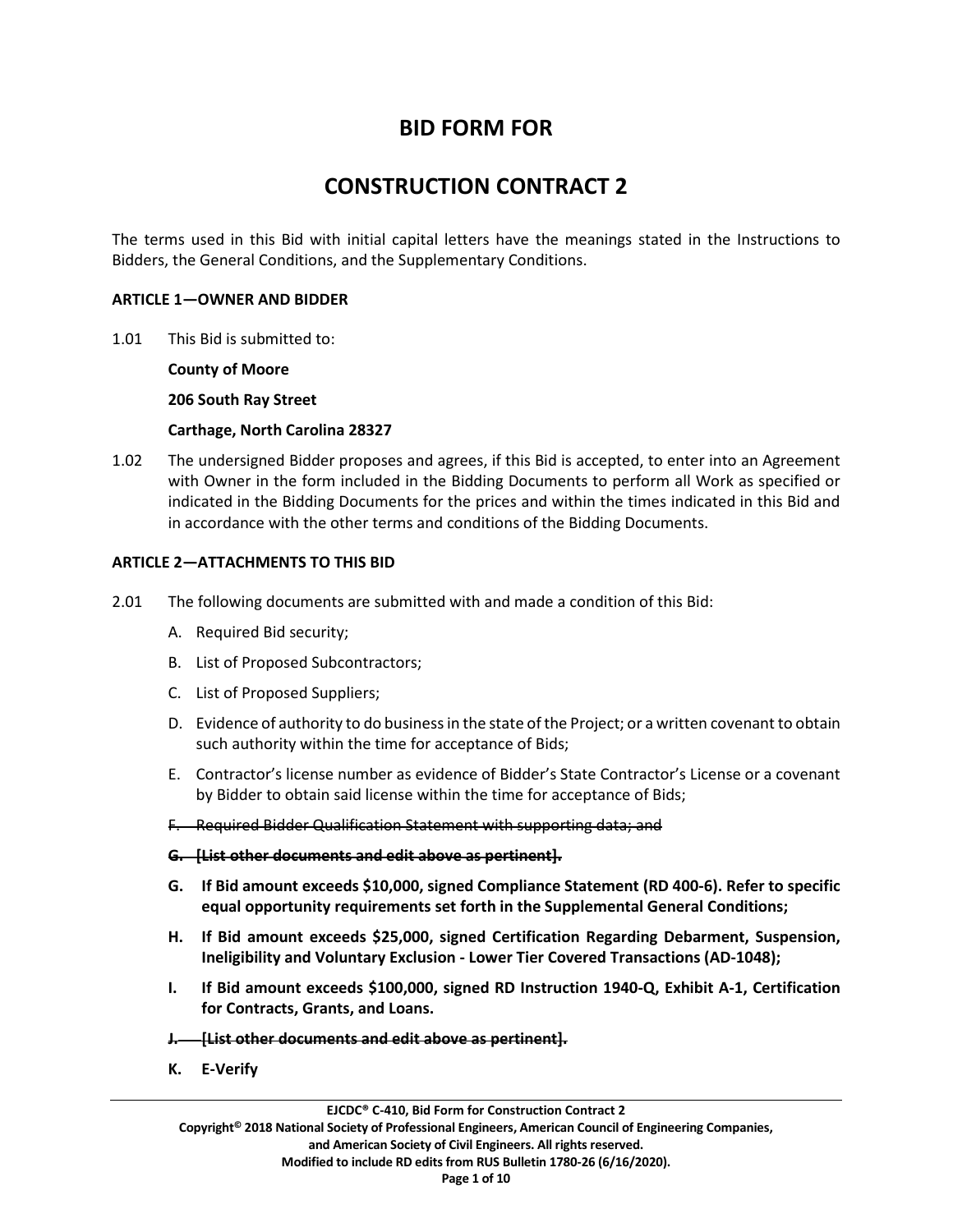# **BID FORM FOR**

# **CONSTRUCTION CONTRACT 2**

The terms used in this Bid with initial capital letters have the meanings stated in the Instructions to Bidders, the General Conditions, and the Supplementary Conditions.

#### **ARTICLE 1—OWNER AND BIDDER**

1.01 This Bid is submitted to:

**County of Moore**

**206 South Ray Street**

**Carthage, North Carolina 28327**

1.02 The undersigned Bidder proposes and agrees, if this Bid is accepted, to enter into an Agreement with Owner in the form included in the Bidding Documents to perform all Work as specified or indicated in the Bidding Documents for the prices and within the times indicated in this Bid and in accordance with the other terms and conditions of the Bidding Documents.

## **ARTICLE 2—ATTACHMENTS TO THIS BID**

- 2.01 The following documents are submitted with and made a condition of this Bid:
	- A. Required Bid security;
	- B. List of Proposed Subcontractors;
	- C. List of Proposed Suppliers;
	- D. Evidence of authority to do business in the state of the Project; or a written covenant to obtain such authority within the time for acceptance of Bids;
	- E. Contractor's license number as evidence of Bidder's State Contractor's License or a covenant by Bidder to obtain said license within the time for acceptance of Bids;
	- F. Required Bidder Qualification Statement with supporting data; and

#### **G. [List other documents and edit above as pertinent].**

- **G. If Bid amount exceeds \$10,000, signed Compliance Statement (RD 400-6). Refer to specific equal opportunity requirements set forth in the Supplemental General Conditions;**
- **H. If Bid amount exceeds \$25,000, signed Certification Regarding Debarment, Suspension, Ineligibility and Voluntary Exclusion - Lower Tier Covered Transactions (AD-1048);**
- **I. If Bid amount exceeds \$100,000, signed RD Instruction 1940-Q, Exhibit A-1, Certification for Contracts, Grants, and Loans.**
- **J. [List other documents and edit above as pertinent].**
- **K. E-Verify**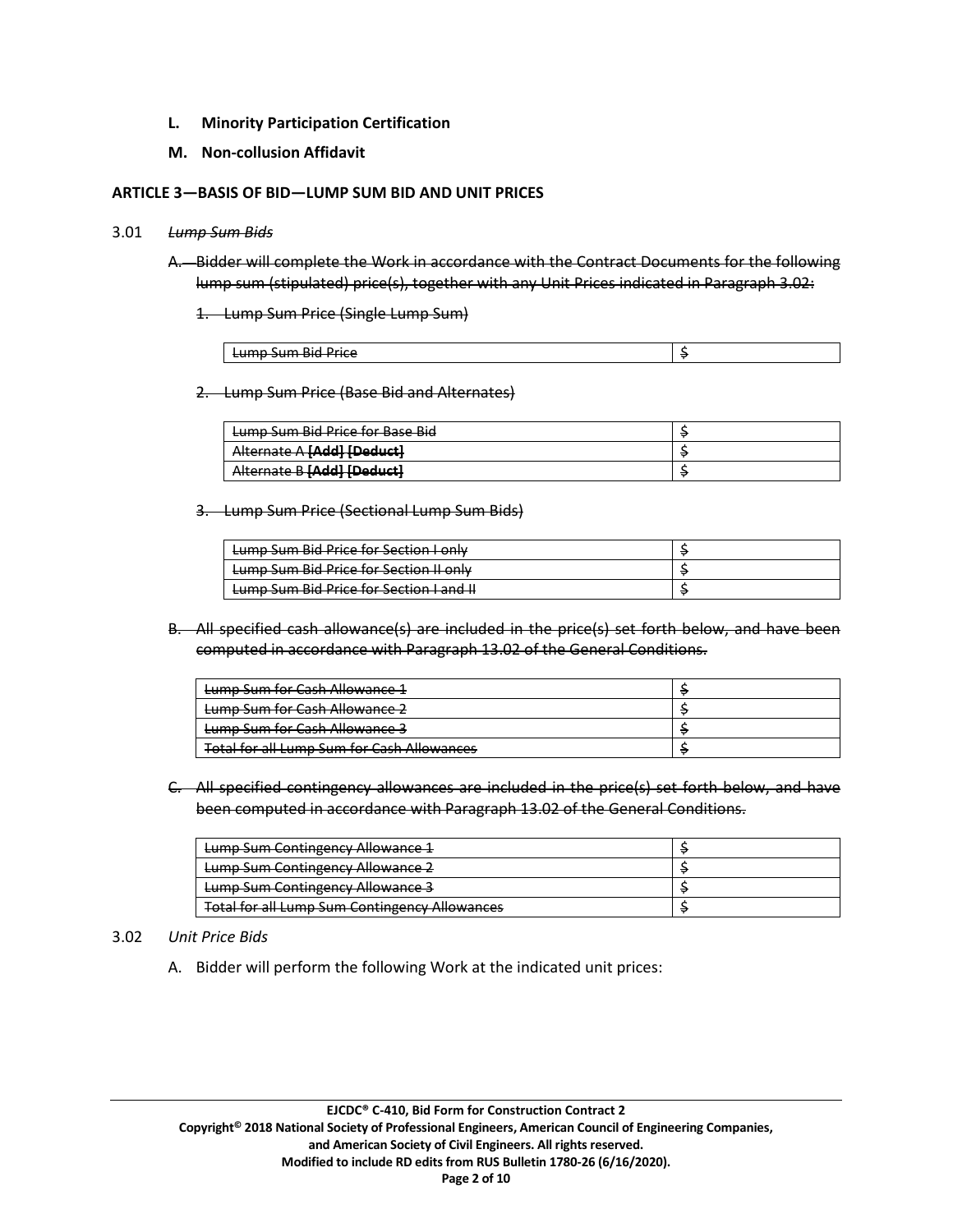- **L. Minority Participation Certification**
- **M. Non-collusion Affidavit**

#### **ARTICLE 3—BASIS OF BID—LUMP SUM BID AND UNIT PRICES**

#### 3.01 *Lump Sum Bids*

- A. Bidder will complete the Work in accordance with the Contract Documents for the following lump sum (stipulated) price(s), together with any Unit Prices indicated in Paragraph 3.02:
	- 1. Lump Sum Price (Single Lump Sum)

| -<br>$\cdots$<br>.<br>Dirl<br>Drice<br><del>cumo sum piu rince</del> |  |
|----------------------------------------------------------------------|--|

2. Lump Sum Price (Base Bid and Alternates)

| Lumn Sum Rid Price for Rase Rid<br><del>cump sum più rmcc ioi pasc più</del>     |  |
|----------------------------------------------------------------------------------|--|
| Alternate A <b>[Add]</b> [Deduct]<br><del>Alternate A <b>provi rocuuci</b></del> |  |
| <b>Subordl [bbAll Doduct]</b><br><b><i><u>MICHING DIMALIBERACIE</u></i></b>      |  |

3. Lump Sum Price (Sectional Lump Sum Bids)

| Lumn Sum Rid Drice for Section Lonly<br><del>cump sum biu rince ior secuon i omy</del>             |  |
|----------------------------------------------------------------------------------------------------|--|
| Lump Sum Bid Price for Section II only                                                             |  |
| <b>Lumn Sum Rid Drice for Section Land IL</b><br><del>cump sum plu rince for section ranu in</del> |  |

B. All specified cash allowance(s) are included in the price(s) set forth below, and have been computed in accordance with Paragraph 13.02 of the General Conditions.

| Lumn Sum for Cach Allowance 1<br><del>cump sunn ior cash Allowance 1</del>                         |  |
|----------------------------------------------------------------------------------------------------|--|
| Lumn Sum for Cach Allowance 2<br><del>camp sunnor cash Anowance z</del>                            |  |
| Lumn Sum for Cach Allowance 2<br><del>cump sum for cash Allowance s</del>                          |  |
| Total for all Lumn Sum for Cash Allowances<br><del>rotarior an camp sant für Cash Allowances</del> |  |

C. All specified contingency allowances are included in the price(s) set forth below, and have been computed in accordance with Paragraph 13.02 of the General Conditions.

| Lump Sum Contingency Allowance 1                     |  |
|------------------------------------------------------|--|
| Lump Sum Contingency Allowance 2                     |  |
| Lump Sum Contingency Allowance 3                     |  |
| <b>Total for all Lump Sum Contingency Allowances</b> |  |

## 3.02 *Unit Price Bids*

A. Bidder will perform the following Work at the indicated unit prices: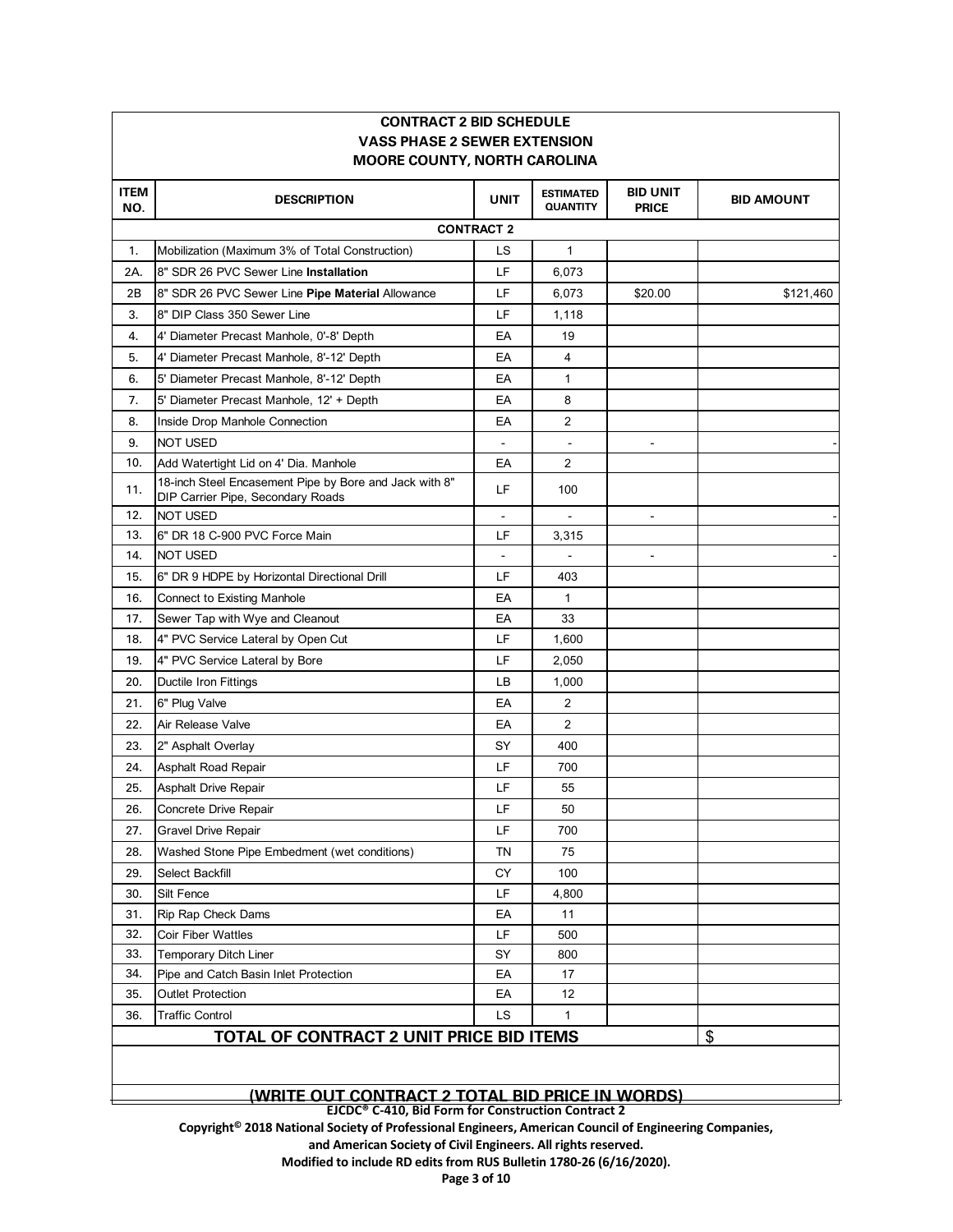| <b>MOORE COUNTY, NORTH CAROLINA</b> |                                                                                             |             |                                     |                                 |                   |  |  |
|-------------------------------------|---------------------------------------------------------------------------------------------|-------------|-------------------------------------|---------------------------------|-------------------|--|--|
| <b>ITEM</b><br>NO.                  | <b>DESCRIPTION</b>                                                                          | <b>UNIT</b> | <b>ESTIMATED</b><br><b>QUANTITY</b> | <b>BID UNIT</b><br><b>PRICE</b> | <b>BID AMOUNT</b> |  |  |
| <b>CONTRACT 2</b>                   |                                                                                             |             |                                     |                                 |                   |  |  |
| 1.                                  | Mobilization (Maximum 3% of Total Construction)                                             | LS          | $\mathbf{1}$                        |                                 |                   |  |  |
| 2A.                                 | 8" SDR 26 PVC Sewer Line Installation                                                       | LF          | 6,073                               |                                 |                   |  |  |
| 2Β                                  | 8" SDR 26 PVC Sewer Line Pipe Material Allowance                                            | LF          | 6,073                               | \$20.00                         | \$121,460         |  |  |
| 3.                                  | 8" DIP Class 350 Sewer Line                                                                 | LF          | 1,118                               |                                 |                   |  |  |
| 4.                                  | 4' Diameter Precast Manhole, 0'-8' Depth                                                    | EA          | 19                                  |                                 |                   |  |  |
| 5.                                  | 4' Diameter Precast Manhole, 8'-12' Depth                                                   | EA          | $\overline{4}$                      |                                 |                   |  |  |
| 6.                                  | 5' Diameter Precast Manhole, 8'-12' Depth                                                   | EA          | $\mathbf{1}$                        |                                 |                   |  |  |
| 7.                                  | 5' Diameter Precast Manhole, 12' + Depth                                                    | EA          | 8                                   |                                 |                   |  |  |
| 8.                                  | Inside Drop Manhole Connection                                                              | EA          | $\overline{2}$                      |                                 |                   |  |  |
| 9.                                  | <b>NOT USED</b>                                                                             |             |                                     |                                 |                   |  |  |
| 10.                                 | Add Watertight Lid on 4' Dia. Manhole                                                       | EA          | $\overline{2}$                      |                                 |                   |  |  |
| 11.                                 | 18-inch Steel Encasement Pipe by Bore and Jack with 8"<br>DIP Carrier Pipe, Secondary Roads | LF          | 100                                 |                                 |                   |  |  |
| 12.                                 | NOT USED                                                                                    |             |                                     | $\blacksquare$                  |                   |  |  |
| 13.                                 | 6" DR 18 C-900 PVC Force Main                                                               | LF          | 3,315                               |                                 |                   |  |  |
| 14.                                 | <b>NOT USED</b>                                                                             |             |                                     | $\qquad \qquad \blacksquare$    |                   |  |  |
| 15.                                 | 6" DR 9 HDPE by Horizontal Directional Drill                                                | LF          | 403                                 |                                 |                   |  |  |
| 16.                                 | <b>Connect to Existing Manhole</b>                                                          | EA          | $\mathbf{1}$                        |                                 |                   |  |  |
| 17.                                 | Sewer Tap with Wye and Cleanout                                                             | EA          | 33                                  |                                 |                   |  |  |
| 18.                                 | 4" PVC Service Lateral by Open Cut                                                          | LF          | 1,600                               |                                 |                   |  |  |
| 19.                                 | 4" PVC Service Lateral by Bore                                                              | LF          | 2,050                               |                                 |                   |  |  |
| 20.                                 | Ductile Iron Fittings                                                                       | LВ          | 1,000                               |                                 |                   |  |  |
| 21.                                 | 6" Plug Valve                                                                               | EA          | 2                                   |                                 |                   |  |  |
| 22.                                 | Air Release Valve                                                                           | EA          | 2                                   |                                 |                   |  |  |
| 23.                                 | 2" Asphalt Overlay                                                                          | SY          | 400                                 |                                 |                   |  |  |
| 24.                                 | Asphalt Road Repair                                                                         | LF          | 700                                 |                                 |                   |  |  |
| 25.                                 | Asphalt Drive Repair                                                                        | LF          | 55                                  |                                 |                   |  |  |
| 26.                                 | Concrete Drive Repair                                                                       | LF          | 50                                  |                                 |                   |  |  |
| 27.                                 | Gravel Drive Repair                                                                         | LF          | 700                                 |                                 |                   |  |  |
| 28.                                 | Washed Stone Pipe Embedment (wet conditions)                                                | TN          | 75                                  |                                 |                   |  |  |
| 29.                                 | Select Backfill                                                                             | CY          | 100                                 |                                 |                   |  |  |
| 30.                                 | Silt Fence                                                                                  | LF          | 4,800                               |                                 |                   |  |  |
| 31.                                 | Rip Rap Check Dams                                                                          | EA          | 11                                  |                                 |                   |  |  |
| 32.                                 | <b>Coir Fiber Wattles</b>                                                                   | LF          | 500                                 |                                 |                   |  |  |
| 33.                                 | <b>Temporary Ditch Liner</b>                                                                | SY          | 800                                 |                                 |                   |  |  |
| 34.                                 | Pipe and Catch Basin Inlet Protection                                                       | EA          | 17                                  |                                 |                   |  |  |
| 35.                                 | <b>Outlet Protection</b>                                                                    | EA          | 12                                  |                                 |                   |  |  |
| 36.                                 | <b>Traffic Control</b>                                                                      | LS          | 1                                   |                                 |                   |  |  |
|                                     | <b>TOTAL OF CONTRACT 2 UNIT PRICE BID ITEMS</b>                                             |             |                                     |                                 | \$                |  |  |

**CONTRACT 2 BID SCHEDULE**

#### **(WRITE OUT CONTRACT 2 TOTAL BID PRICE IN WORDS)**

**EJCDC® C-410, Bid Form for Construction Contract 2** 

**Copyright© 2018 National Society of Professional Engineers, American Council of Engineering Companies,**

**and American Society of Civil Engineers. All rights reserved.** 

**Modified to include RD edits from RUS Bulletin 1780-26 (6/16/2020).**

**Page 3 of 10**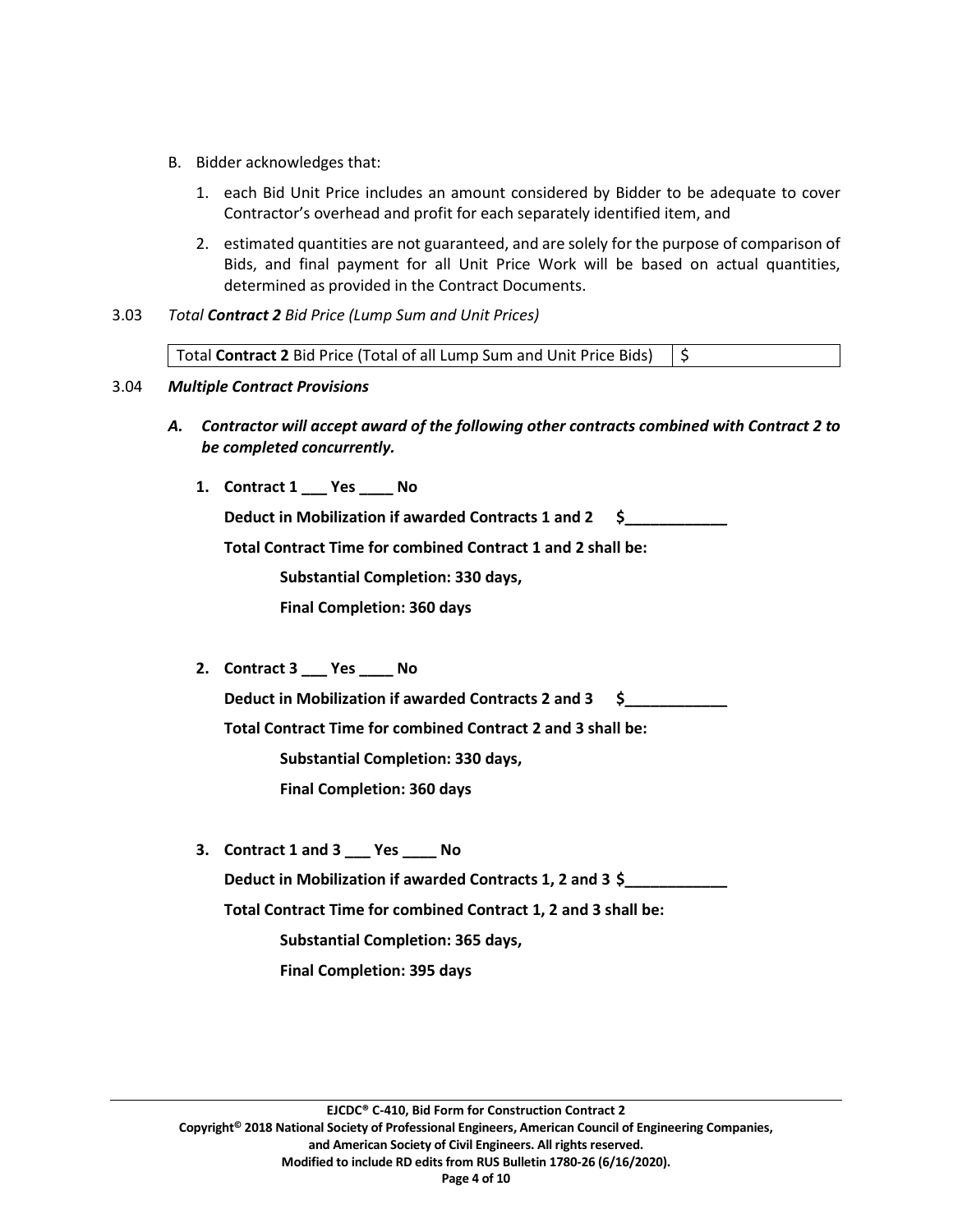- B. Bidder acknowledges that:
	- 1. each Bid Unit Price includes an amount considered by Bidder to be adequate to cover Contractor's overhead and profit for each separately identified item, and
	- 2. estimated quantities are not guaranteed, and are solely for the purpose of comparison of Bids, and final payment for all Unit Price Work will be based on actual quantities, determined as provided in the Contract Documents.
- 3.03 *Total Contract 2 Bid Price (Lump Sum and Unit Prices)*

Total **Contract 2** Bid Price (Total of all Lump Sum and Unit Price Bids)  $\frac{1}{5}$ 

## 3.04 *Multiple Contract Provisions*

- *A. Contractor will accept award of the following other contracts combined with Contract 2 to be completed concurrently.*
	- **1. Contract 1 \_\_\_ Yes \_\_\_\_ No**

**Deduct in Mobilization if awarded Contracts 1 and 2 \$\_\_\_\_\_\_\_\_\_\_\_\_**

**Total Contract Time for combined Contract 1 and 2 shall be:** 

**Substantial Completion: 330 days,** 

**Final Completion: 360 days**

**2. Contract 3 \_\_\_ Yes \_\_\_\_ No**

**Deduct in Mobilization if awarded Contracts 2 and 3 \$\_\_\_\_\_\_\_\_\_\_\_\_**

**Total Contract Time for combined Contract 2 and 3 shall be:** 

**Substantial Completion: 330 days,** 

**Final Completion: 360 days**

**3. Contract 1 and 3 \_\_\_ Yes \_\_\_\_ No Deduct in Mobilization if awarded Contracts 1, 2 and 3 \$\_\_\_\_\_\_\_\_\_\_\_\_ Total Contract Time for combined Contract 1, 2 and 3 shall be: Substantial Completion: 365 days, Final Completion: 395 days**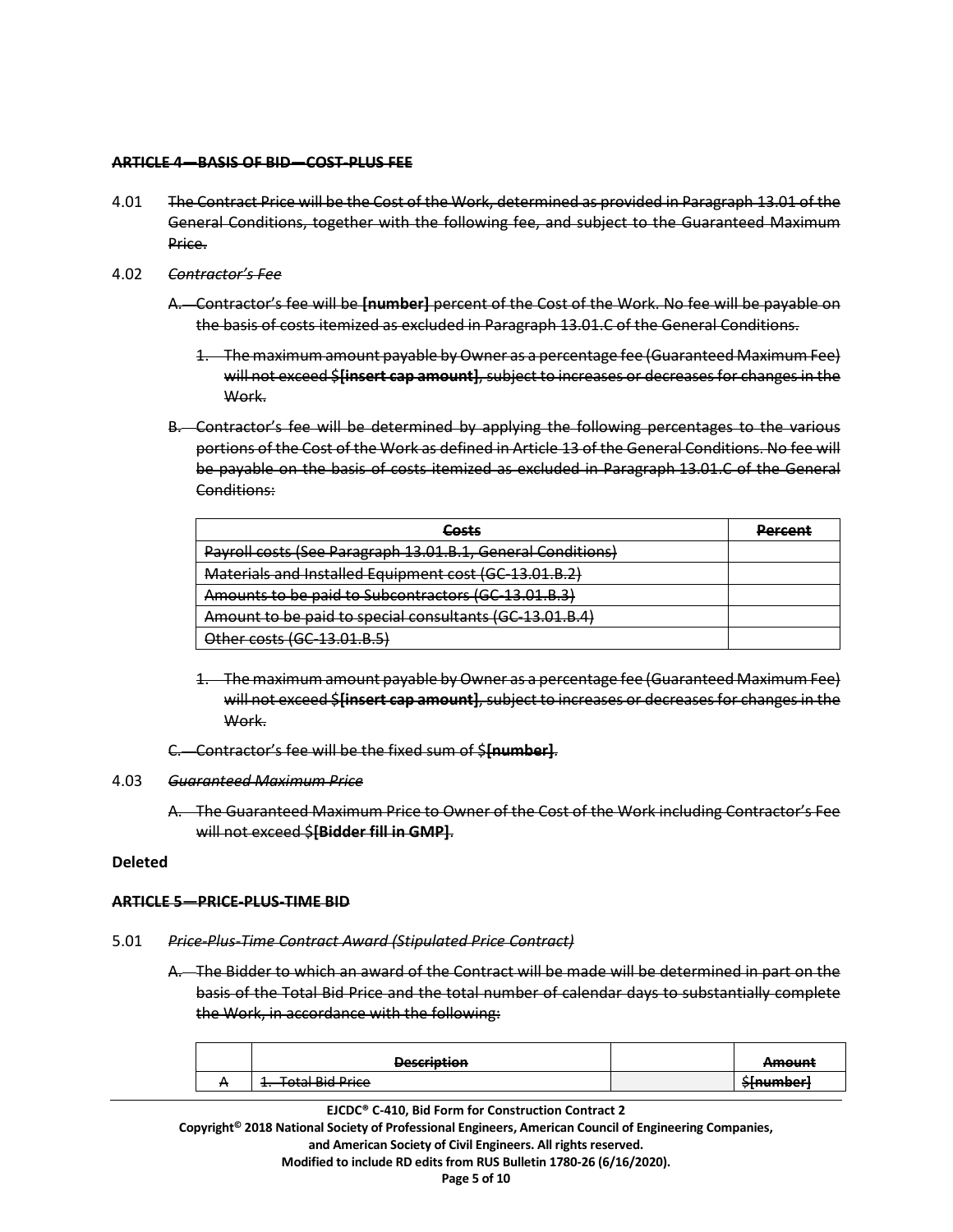#### **ARTICLE 4—BASIS OF BID—COST-PLUS FEE**

- 4.01 The Contract Price will be the Cost of the Work, determined as provided in Paragraph 13.01 of the General Conditions, together with the following fee, and subject to the Guaranteed Maximum Price.
- 4.02 *Contractor's Fee*
	- A. Contractor's fee will be **[number]** percent of the Cost of the Work. No fee will be payable on the basis of costs itemized as excluded in Paragraph 13.01.C of the General Conditions.
		- 1. The maximum amount payable by Owner as a percentage fee (Guaranteed Maximum Fee) will not exceed \$**[insert cap amount]**, subject to increases or decreases for changes in the Work.
	- B. Contractor's fee will be determined by applying the following percentages to the various portions of the Cost of the Work as defined in Article 13 of the General Conditions. No fee will be payable on the basis of costs itemized as excluded in Paragraph 13.01.C of the General Conditions:

| Costs                                                       | Darrant |
|-------------------------------------------------------------|---------|
| Payroll costs (See Paragraph 13.01.B.1, General Conditions) |         |
| Materials and Installed Equipment cost (GC-13.01.B.2)       |         |
| Amounts to be paid to Subcontractors (GC-13.01.B.3)         |         |
| Amount to be paid to special consultants (GC-13.01.B.4)     |         |
| Other costs (GC-13.01.B.5)                                  |         |

- 1. The maximum amount payable by Owner as a percentage fee (Guaranteed Maximum Fee) will not exceed \$**[insert cap amount]**, subject to increases or decreases for changes in the Work.
- C. Contractor's fee will be the fixed sum of \$**[number]**.

#### 4.03 *Guaranteed Maximum Price*

A. The Guaranteed Maximum Price to Owner of the Cost of the Work including Contractor's Fee will not exceed \$**[Bidder fill in GMP]**.

#### **Deleted**

#### **ARTICLE 5—PRICE-PLUS-TIME BID**

- 5.01 *Price-Plus-Time Contract Award (Stipulated Price Contract)*
	- A. The Bidder to which an award of the Contract will be made will be determined in part on the basis of the Total Bid Price and the total number of calendar days to substantially complete the Work, in accordance with the following:

|            | <b>Decerintion</b><br><b>PCJUMPHON</b>           | $A$ mount<br><del>AMOUN</del>      |
|------------|--------------------------------------------------|------------------------------------|
| $\sqrt{ }$ | Total Rid Drice<br><del>1. Total blu rifte</del> | :Inumhari<br><del>Jindiniver</del> |

**EJCDC® C-410, Bid Form for Construction Contract 2 Copyright© 2018 National Society of Professional Engineers, American Council of Engineering Companies, and American Society of Civil Engineers. All rights reserved. Modified to include RD edits from RUS Bulletin 1780-26 (6/16/2020). Page 5 of 10**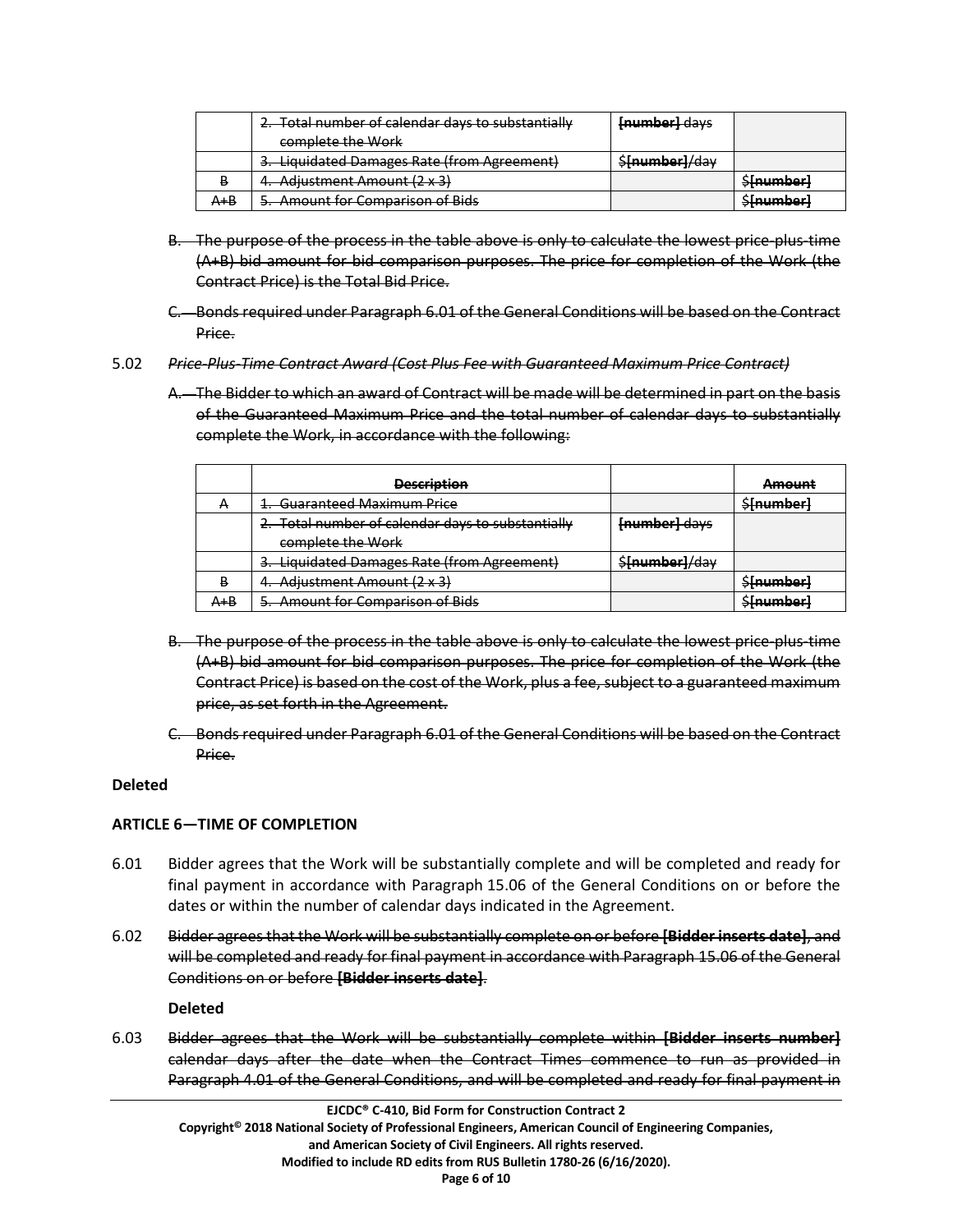|         | 2. Total number of calendar days to substantially<br>complete the Work | [number] days                                 |                                     |
|---------|------------------------------------------------------------------------|-----------------------------------------------|-------------------------------------|
|         | 3. Liquidated Damages Rate (from Agreement)                            | $\frac{1}{2}$<br><del>stuaringer II.aal</del> |                                     |
| В       | 4. Adjustment Amount (2 x 3)                                           |                                               | $C$ [numhar]<br><del>JMMM</del> va  |
| $A + B$ | 5. Amount for Comparison of Bids                                       |                                               | $C$ [numhar]<br><del>Jinamiya</del> |

- B. The purpose of the process in the table above is only to calculate the lowest price-plus-time (A+B) bid amount for bid comparison purposes. The price for completion of the Work (the Contract Price) is the Total Bid Price.
- C. Bonds required under Paragraph 6.01 of the General Conditions will be based on the Contract Price.
- 5.02 *Price-Plus-Time Contract Award (Cost Plus Fee with Guaranteed Maximum Price Contract)*
	- A. The Bidder to which an award of Contract will be made will be determined in part on the basis of the Guaranteed Maximum Price and the total number of calendar days to substantially complete the Work, in accordance with the following:

|     | <b>Description</b>                                |                | Amount           |
|-----|---------------------------------------------------|----------------|------------------|
|     | 1. Guaranteed Maximum Price                       |                | \$[number]       |
|     | 2. Total number of calendar days to substantially | [number] days  |                  |
|     | complete the Work                                 |                |                  |
|     | 3. Liquidated Damages Rate (from Agreement)       | \$fnumber}/day |                  |
|     | 4. Adjustment Amount (2 x 3)                      |                | <b>Sfnumber</b>  |
| A+B | 5. Amount for Comparison of Bids                  |                | <b>Sfnumberl</b> |

- B. The purpose of the process in the table above is only to calculate the lowest price-plus-time (A+B) bid amount for bid comparison purposes. The price for completion of the Work (the Contract Price) is based on the cost of the Work, plus a fee, subject to a guaranteed maximum price, as set forth in the Agreement.
- C. Bonds required under Paragraph 6.01 of the General Conditions will be based on the Contract Price.

# **Deleted**

# **ARTICLE 6—TIME OF COMPLETION**

- 6.01 Bidder agrees that the Work will be substantially complete and will be completed and ready for final payment in accordance with Paragraph 15.06 of the General Conditions on or before the dates or within the number of calendar days indicated in the Agreement.
- 6.02 Bidder agrees that the Work will be substantially complete on or before **[Bidder inserts date]**, and will be completed and ready for final payment in accordance with Paragraph 15.06 of the General Conditions on or before **[Bidder inserts date]**.

**Deleted**

6.03 Bidder agrees that the Work will be substantially complete within **[Bidder inserts number]** calendar days after the date when the Contract Times commence to run as provided in Paragraph 4.01 of the General Conditions, and will be completed and ready for final payment in

**Page 6 of 10**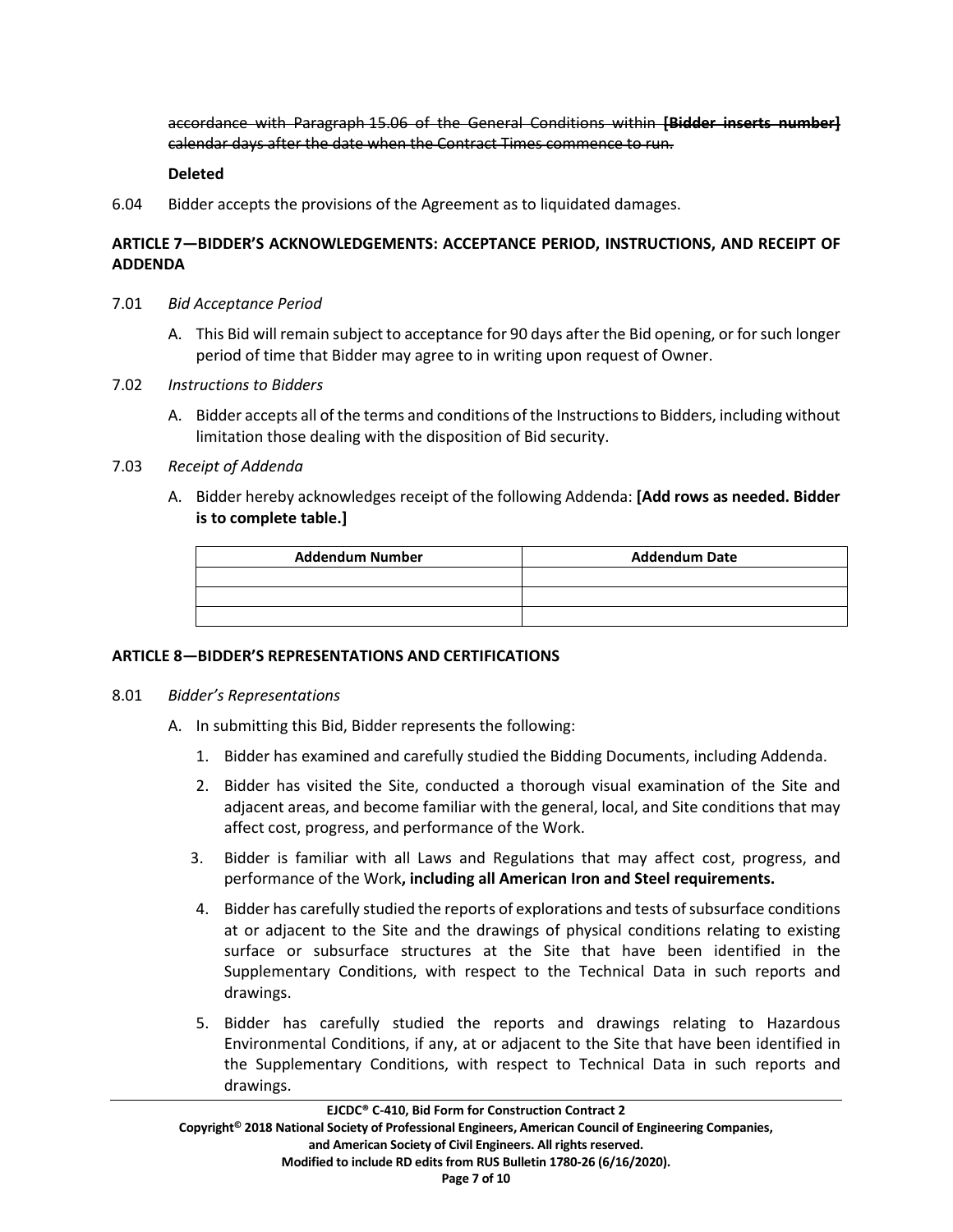accordance with Paragraph 15.06 of the General Conditions within **[Bidder inserts number]** calendar days after the date when the Contract Times commence to run.

### **Deleted**

6.04 Bidder accepts the provisions of the Agreement as to liquidated damages.

# **ARTICLE 7—BIDDER'S ACKNOWLEDGEMENTS: ACCEPTANCE PERIOD, INSTRUCTIONS, AND RECEIPT OF ADDENDA**

- 7.01 *Bid Acceptance Period*
	- A. This Bid will remain subject to acceptance for 90 days after the Bid opening, or for such longer period of time that Bidder may agree to in writing upon request of Owner.
- 7.02 *Instructions to Bidders*
	- A. Bidder accepts all of the terms and conditions of the Instructions to Bidders, including without limitation those dealing with the disposition of Bid security.

## 7.03 *Receipt of Addenda*

A. Bidder hereby acknowledges receipt of the following Addenda: **[Add rows as needed. Bidder is to complete table.]**

| <b>Addendum Number</b> | <b>Addendum Date</b> |
|------------------------|----------------------|
|                        |                      |
|                        |                      |
|                        |                      |

## **ARTICLE 8—BIDDER'S REPRESENTATIONS AND CERTIFICATIONS**

#### 8.01 *Bidder's Representations*

- A. In submitting this Bid, Bidder represents the following:
	- 1. Bidder has examined and carefully studied the Bidding Documents, including Addenda.
	- 2. Bidder has visited the Site, conducted a thorough visual examination of the Site and adjacent areas, and become familiar with the general, local, and Site conditions that may affect cost, progress, and performance of the Work.
	- 3. Bidder is familiar with all Laws and Regulations that may affect cost, progress, and performance of the Work**, including all American Iron and Steel requirements.**
	- 4. Bidder has carefully studied the reports of explorations and tests of subsurface conditions at or adjacent to the Site and the drawings of physical conditions relating to existing surface or subsurface structures at the Site that have been identified in the Supplementary Conditions, with respect to the Technical Data in such reports and drawings.
	- 5. Bidder has carefully studied the reports and drawings relating to Hazardous Environmental Conditions, if any, at or adjacent to the Site that have been identified in the Supplementary Conditions, with respect to Technical Data in such reports and drawings.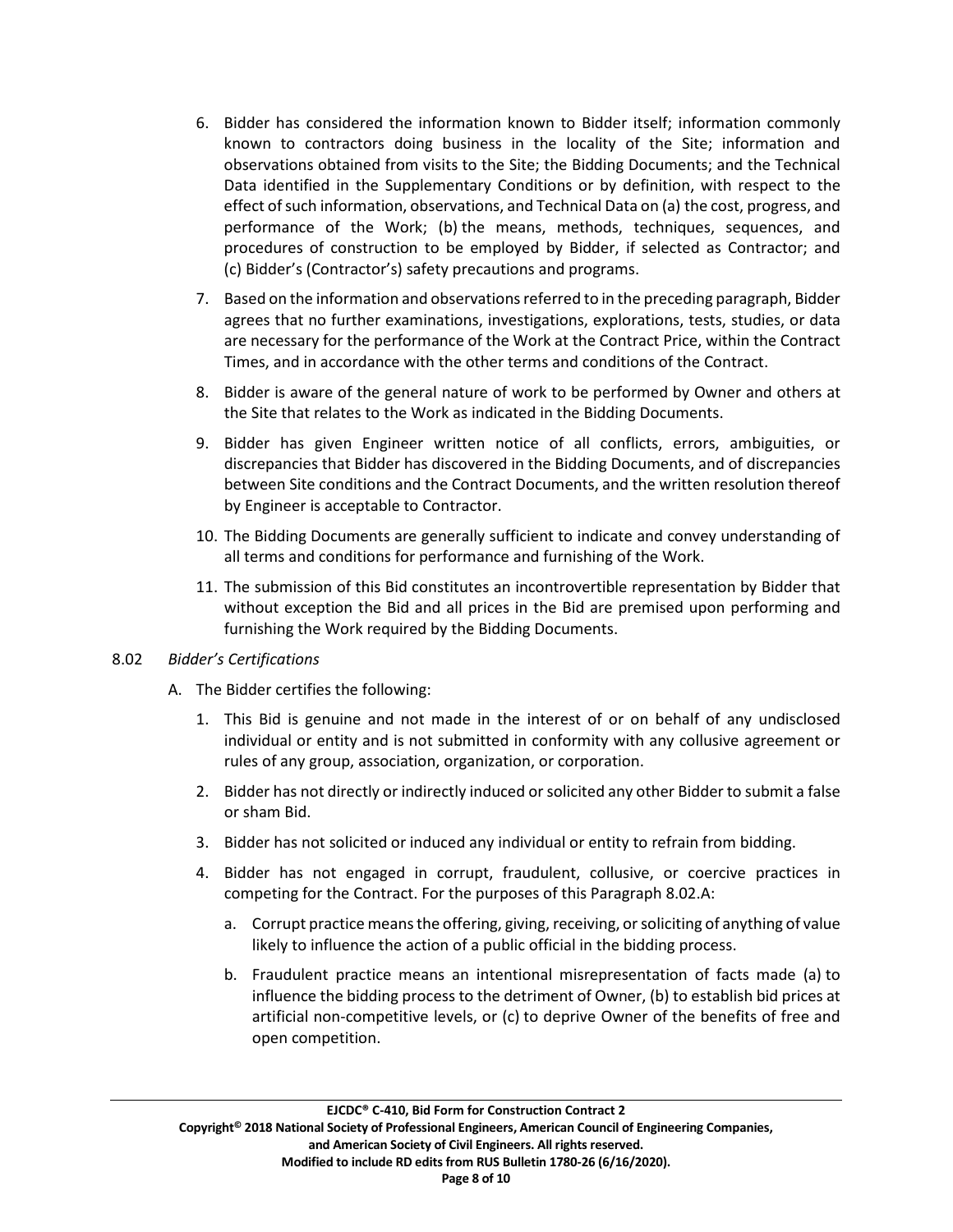- 6. Bidder has considered the information known to Bidder itself; information commonly known to contractors doing business in the locality of the Site; information and observations obtained from visits to the Site; the Bidding Documents; and the Technical Data identified in the Supplementary Conditions or by definition, with respect to the effect of such information, observations, and Technical Data on (a) the cost, progress, and performance of the Work; (b) the means, methods, techniques, sequences, and procedures of construction to be employed by Bidder, if selected as Contractor; and (c) Bidder's (Contractor's) safety precautions and programs.
- 7. Based on the information and observations referred to in the preceding paragraph, Bidder agrees that no further examinations, investigations, explorations, tests, studies, or data are necessary for the performance of the Work at the Contract Price, within the Contract Times, and in accordance with the other terms and conditions of the Contract.
- 8. Bidder is aware of the general nature of work to be performed by Owner and others at the Site that relates to the Work as indicated in the Bidding Documents.
- 9. Bidder has given Engineer written notice of all conflicts, errors, ambiguities, or discrepancies that Bidder has discovered in the Bidding Documents, and of discrepancies between Site conditions and the Contract Documents, and the written resolution thereof by Engineer is acceptable to Contractor.
- 10. The Bidding Documents are generally sufficient to indicate and convey understanding of all terms and conditions for performance and furnishing of the Work.
- 11. The submission of this Bid constitutes an incontrovertible representation by Bidder that without exception the Bid and all prices in the Bid are premised upon performing and furnishing the Work required by the Bidding Documents.

# 8.02 *Bidder's Certifications*

- A. The Bidder certifies the following:
	- 1. This Bid is genuine and not made in the interest of or on behalf of any undisclosed individual or entity and is not submitted in conformity with any collusive agreement or rules of any group, association, organization, or corporation.
	- 2. Bidder has not directly or indirectly induced or solicited any other Bidder to submit a false or sham Bid.
	- 3. Bidder has not solicited or induced any individual or entity to refrain from bidding.
	- 4. Bidder has not engaged in corrupt, fraudulent, collusive, or coercive practices in competing for the Contract. For the purposes of this Paragraph 8.02.A:
		- a. Corrupt practice meansthe offering, giving, receiving, or soliciting of anything of value likely to influence the action of a public official in the bidding process.
		- b. Fraudulent practice means an intentional misrepresentation of facts made (a) to influence the bidding process to the detriment of Owner, (b) to establish bid prices at artificial non-competitive levels, or (c) to deprive Owner of the benefits of free and open competition.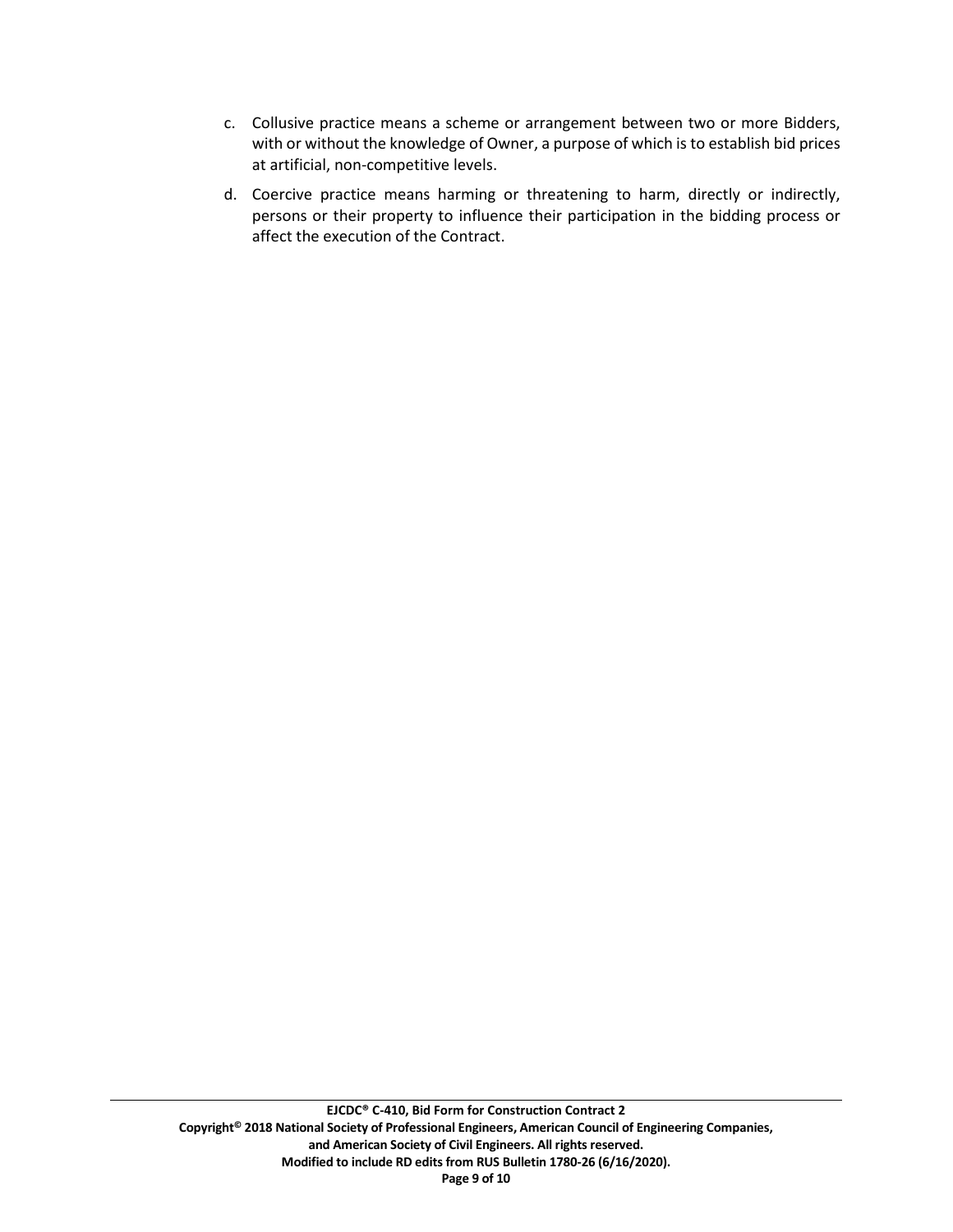- c. Collusive practice means a scheme or arrangement between two or more Bidders, with or without the knowledge of Owner, a purpose of which is to establish bid prices at artificial, non-competitive levels.
- d. Coercive practice means harming or threatening to harm, directly or indirectly, persons or their property to influence their participation in the bidding process or affect the execution of the Contract.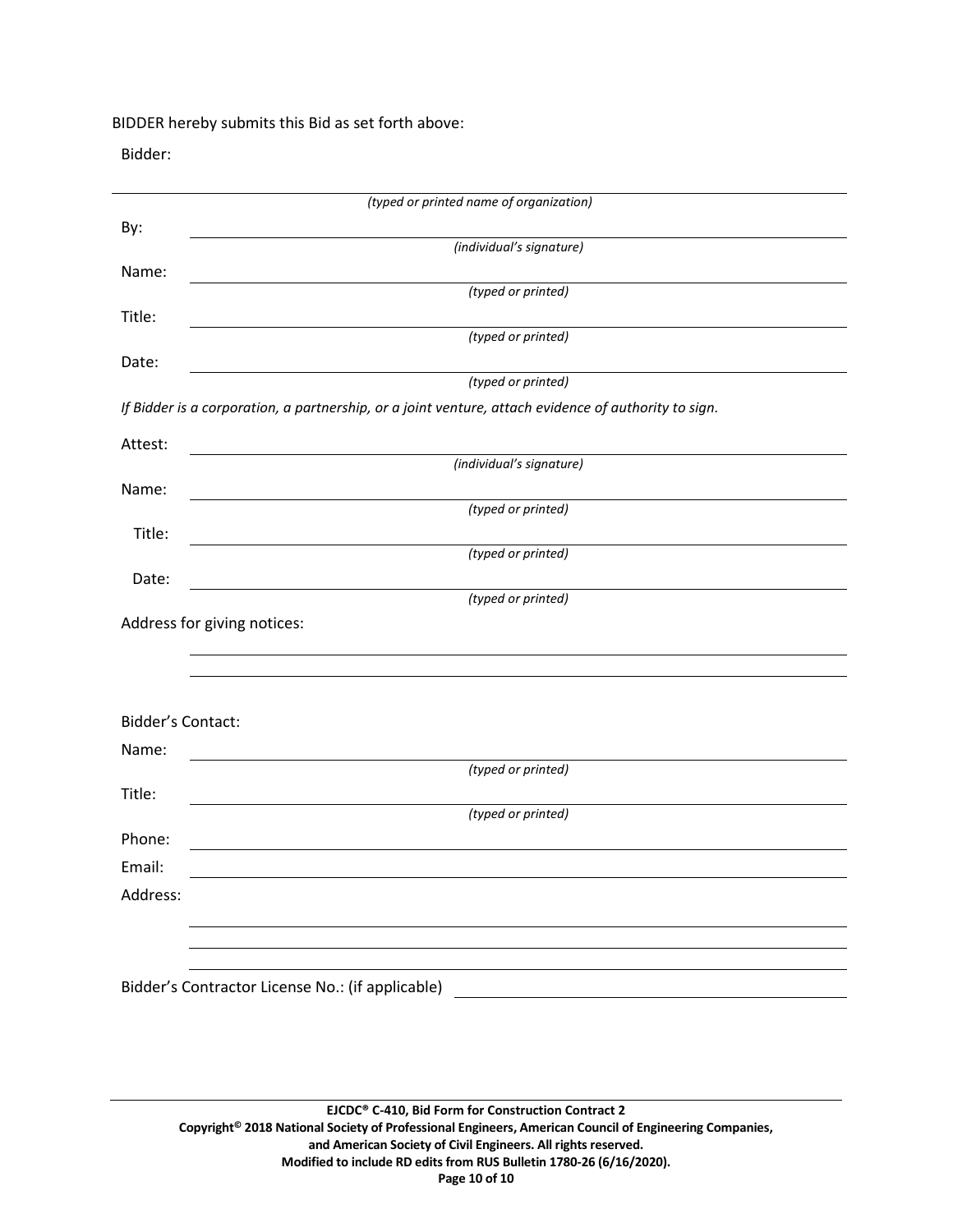BIDDER hereby submits this Bid as set forth above:

Bidder:

|                          | (typed or printed name of organization)                                                                                                                                   |  |  |
|--------------------------|---------------------------------------------------------------------------------------------------------------------------------------------------------------------------|--|--|
| By:                      |                                                                                                                                                                           |  |  |
|                          | (individual's signature)                                                                                                                                                  |  |  |
| Name:                    | (typed or printed)                                                                                                                                                        |  |  |
| Title:                   |                                                                                                                                                                           |  |  |
|                          | (typed or printed)                                                                                                                                                        |  |  |
| Date:                    |                                                                                                                                                                           |  |  |
|                          | (typed or printed)                                                                                                                                                        |  |  |
|                          | If Bidder is a corporation, a partnership, or a joint venture, attach evidence of authority to sign.                                                                      |  |  |
| Attest:                  |                                                                                                                                                                           |  |  |
|                          | (individual's signature)                                                                                                                                                  |  |  |
| Name:                    | (typed or printed)                                                                                                                                                        |  |  |
| Title:                   |                                                                                                                                                                           |  |  |
|                          | (typed or printed)                                                                                                                                                        |  |  |
| Date:                    |                                                                                                                                                                           |  |  |
|                          | (typed or printed)                                                                                                                                                        |  |  |
|                          | Address for giving notices:                                                                                                                                               |  |  |
|                          |                                                                                                                                                                           |  |  |
|                          |                                                                                                                                                                           |  |  |
| <b>Bidder's Contact:</b> |                                                                                                                                                                           |  |  |
| Name:                    |                                                                                                                                                                           |  |  |
|                          | (typed or printed)                                                                                                                                                        |  |  |
| Title:                   |                                                                                                                                                                           |  |  |
|                          | (typed or printed)                                                                                                                                                        |  |  |
| Phone:                   |                                                                                                                                                                           |  |  |
| Email:                   |                                                                                                                                                                           |  |  |
| Address:                 |                                                                                                                                                                           |  |  |
|                          |                                                                                                                                                                           |  |  |
|                          |                                                                                                                                                                           |  |  |
|                          | Bidder's Contractor License No.: (if applicable)<br><u> 1989 - Johann Harry Harry Harry Harry Harry Harry Harry Harry Harry Harry Harry Harry Harry Harry Harry Harry</u> |  |  |
|                          |                                                                                                                                                                           |  |  |
|                          |                                                                                                                                                                           |  |  |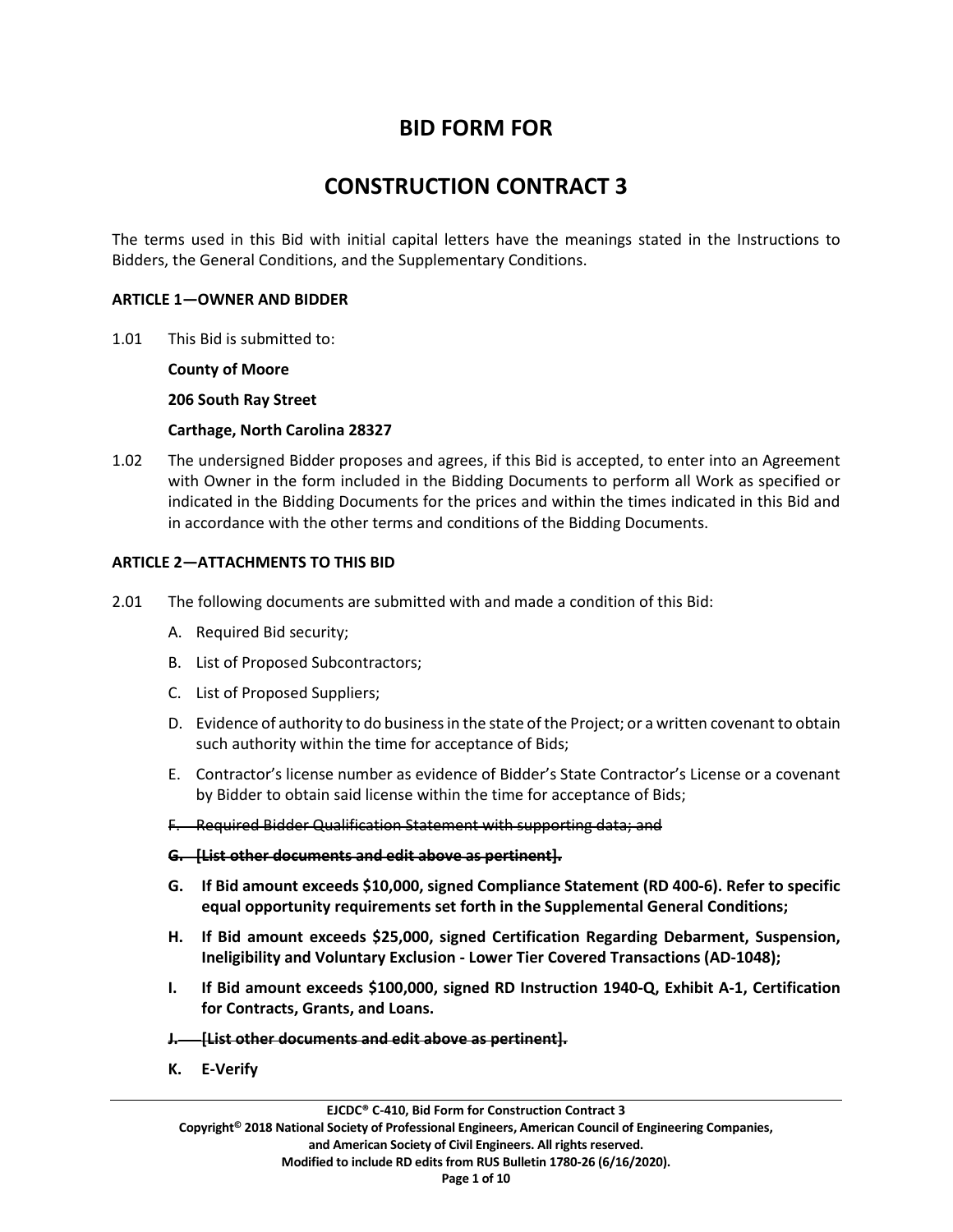# **BID FORM FOR**

# **CONSTRUCTION CONTRACT 3**

The terms used in this Bid with initial capital letters have the meanings stated in the Instructions to Bidders, the General Conditions, and the Supplementary Conditions.

#### **ARTICLE 1—OWNER AND BIDDER**

1.01 This Bid is submitted to:

**County of Moore**

**206 South Ray Street**

**Carthage, North Carolina 28327**

1.02 The undersigned Bidder proposes and agrees, if this Bid is accepted, to enter into an Agreement with Owner in the form included in the Bidding Documents to perform all Work as specified or indicated in the Bidding Documents for the prices and within the times indicated in this Bid and in accordance with the other terms and conditions of the Bidding Documents.

## **ARTICLE 2—ATTACHMENTS TO THIS BID**

- 2.01 The following documents are submitted with and made a condition of this Bid:
	- A. Required Bid security;
	- B. List of Proposed Subcontractors;
	- C. List of Proposed Suppliers;
	- D. Evidence of authority to do business in the state of the Project; or a written covenant to obtain such authority within the time for acceptance of Bids;
	- E. Contractor's license number as evidence of Bidder's State Contractor's License or a covenant by Bidder to obtain said license within the time for acceptance of Bids;
	- F. Required Bidder Qualification Statement with supporting data; and

#### **G. [List other documents and edit above as pertinent].**

- **G. If Bid amount exceeds \$10,000, signed Compliance Statement (RD 400-6). Refer to specific equal opportunity requirements set forth in the Supplemental General Conditions;**
- **H. If Bid amount exceeds \$25,000, signed Certification Regarding Debarment, Suspension, Ineligibility and Voluntary Exclusion - Lower Tier Covered Transactions (AD-1048);**
- **I. If Bid amount exceeds \$100,000, signed RD Instruction 1940-Q, Exhibit A-1, Certification for Contracts, Grants, and Loans.**
- **J. [List other documents and edit above as pertinent].**
- **K. E-Verify**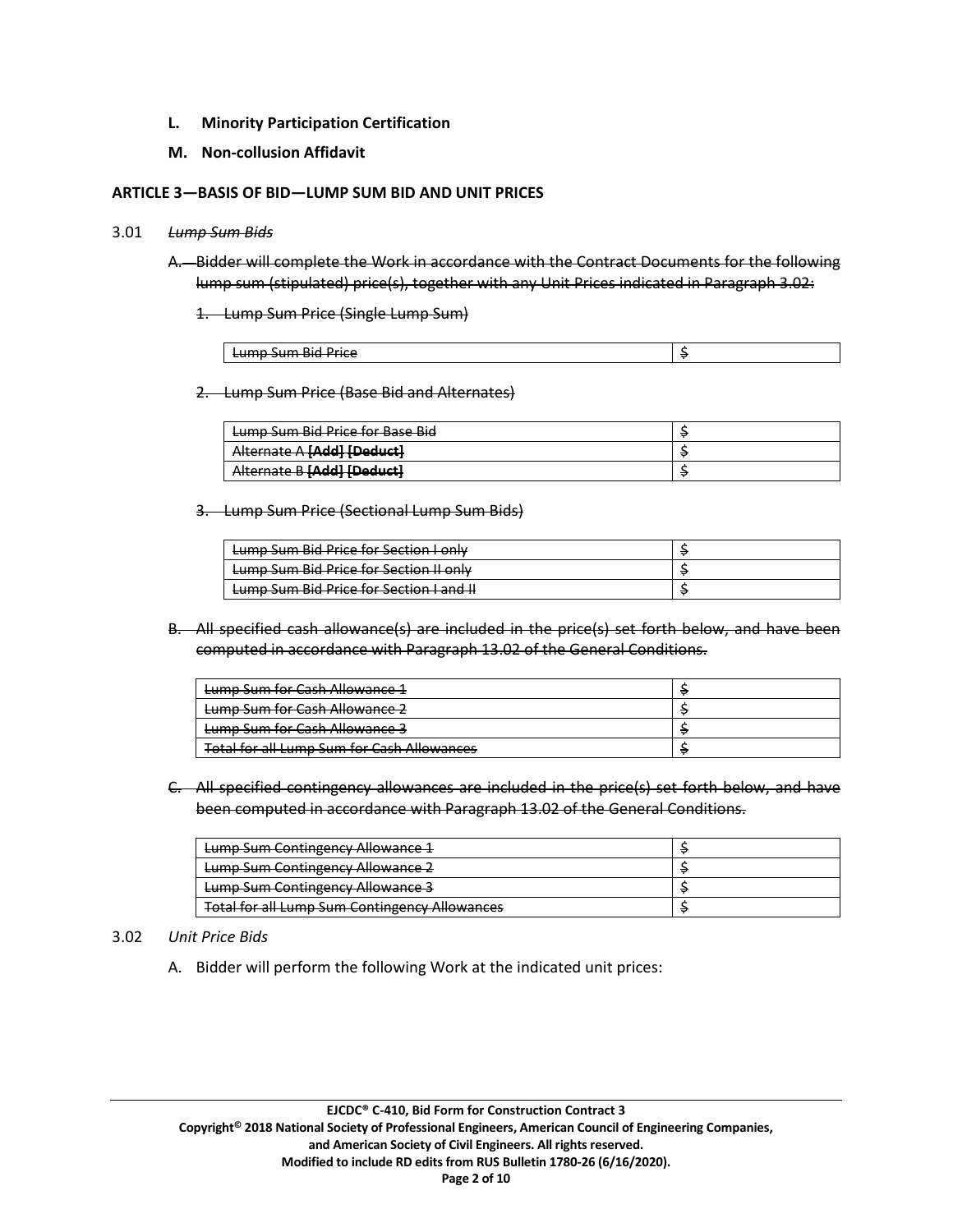- **L. Minority Participation Certification**
- **M. Non-collusion Affidavit**

#### **ARTICLE 3—BASIS OF BID—LUMP SUM BID AND UNIT PRICES**

#### 3.01 *Lump Sum Bids*

- A. Bidder will complete the Work in accordance with the Contract Documents for the following lump sum (stipulated) price(s), together with any Unit Prices indicated in Paragraph 3.02:
	- 1. Lump Sum Price (Single Lump Sum)

| -<br>$\cdots$<br>.<br>Dirl<br>Drice<br><del>cumo sum piu rince</del> |  |
|----------------------------------------------------------------------|--|

2. Lump Sum Price (Base Bid and Alternates)

| Lumn Sum Rid Price for Rase Rid<br><del>cump sum più rmcc ioi pasc più</del>     |  |
|----------------------------------------------------------------------------------|--|
| Alternate A <b>[Add]</b> [Deduct]<br><del>Alternate A <b>provi rocuuci</b></del> |  |
| <b>Subordl [bbAll Doduct]</b><br><b><i><u>MICHING DIMALIBERACIE</u></i></b>      |  |

3. Lump Sum Price (Sectional Lump Sum Bids)

| Lumn Sum Rid Drice for Section Lonly<br><del>camp sam bia rnce ior secuon i omy</del>     |  |
|-------------------------------------------------------------------------------------------|--|
| Lump Sum Bid Price for Section II only                                                    |  |
| Lumn Sum Rid Drice for Section Land IL<br><del>cump sum biu rince ioi secuon ranu n</del> |  |

B. All specified cash allowance(s) are included in the price(s) set forth below, and have been computed in accordance with Paragraph 13.02 of the General Conditions.

| Lump Sum for Cash Allowance 1                     |  |
|---------------------------------------------------|--|
| Lump Sum for Cash Allowance 2                     |  |
| Lump Sum for Cash Allowance 3                     |  |
| <b>Total for all Lump Sum for Cash Allowances</b> |  |

C. All specified contingency allowances are included in the price(s) set forth below, and have been computed in accordance with Paragraph 13.02 of the General Conditions.

| Lumn Sum Contingency Allowance 1<br><del>camp sum contingency Allowance 1</del> |  |
|---------------------------------------------------------------------------------|--|
| Lump Sum Contingency Allowance 2                                                |  |
| <b>Lump Sum Contingency Allowance 3</b>                                         |  |
| <b>Total for all Lump Sum Contingency Allowances</b>                            |  |

## 3.02 *Unit Price Bids*

A. Bidder will perform the following Work at the indicated unit prices: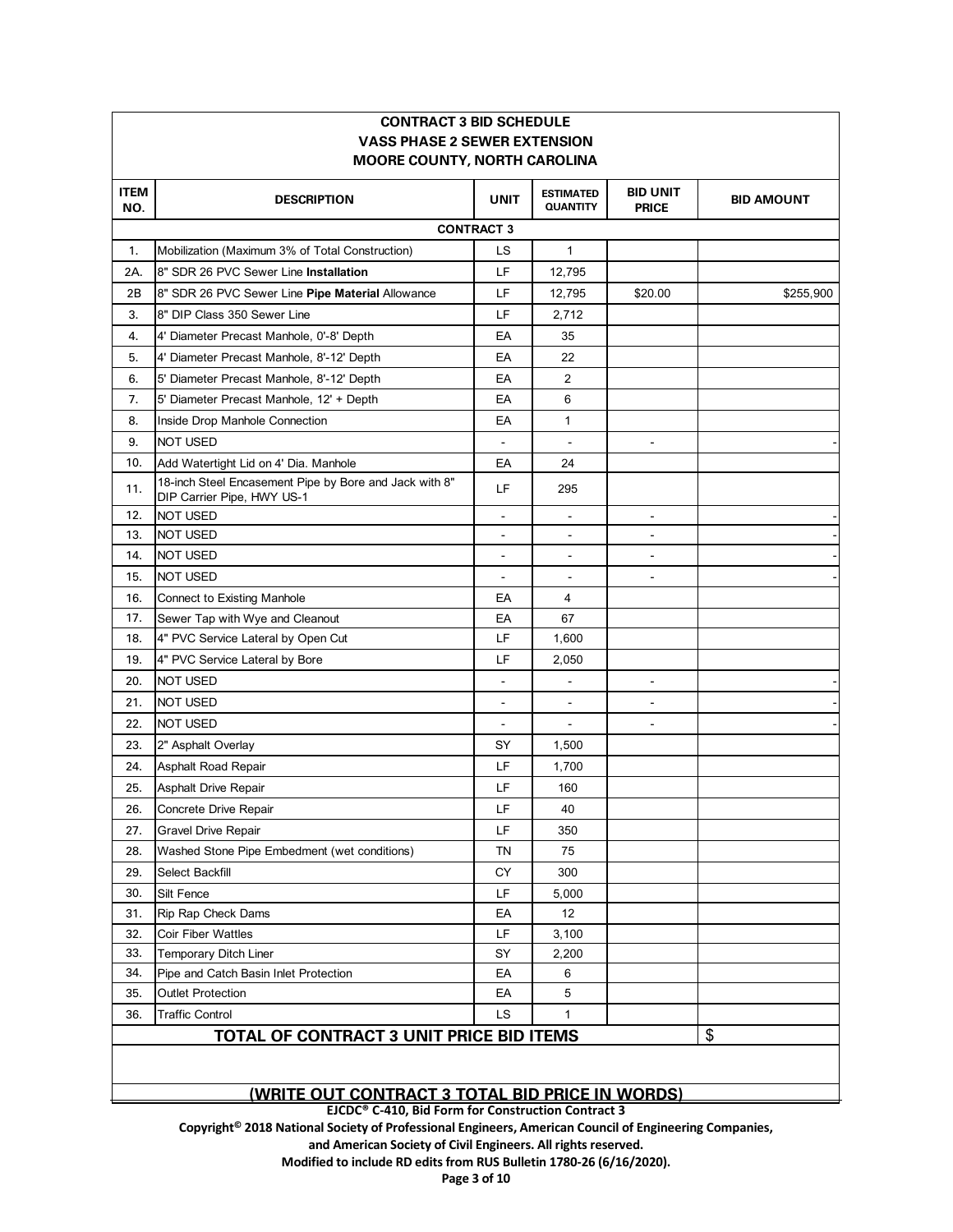| <b>VASS PHASE 2 SEWER EXTENSION</b><br><b>MOORE COUNTY, NORTH CAROLINA</b> |                                                                                      |                          |                                     |                                 |                   |
|----------------------------------------------------------------------------|--------------------------------------------------------------------------------------|--------------------------|-------------------------------------|---------------------------------|-------------------|
| <b>ITEM</b><br>NO.                                                         | <b>DESCRIPTION</b>                                                                   | <b>UNIT</b>              | <b>ESTIMATED</b><br><b>QUANTITY</b> | <b>BID UNIT</b><br><b>PRICE</b> | <b>BID AMOUNT</b> |
|                                                                            |                                                                                      | <b>CONTRACT 3</b>        |                                     |                                 |                   |
| 1.                                                                         | Mobilization (Maximum 3% of Total Construction)                                      | LS                       | $\mathbf{1}$                        |                                 |                   |
| 2A.                                                                        | 8" SDR 26 PVC Sewer Line Installation                                                | LF                       | 12,795                              |                                 |                   |
| 2B                                                                         | 8" SDR 26 PVC Sewer Line Pipe Material Allowance                                     | LF                       | 12,795                              | \$20.00                         | \$255,900         |
| 3.                                                                         | 8" DIP Class 350 Sewer Line                                                          | LF                       | 2,712                               |                                 |                   |
| 4.                                                                         | 4' Diameter Precast Manhole, 0'-8' Depth                                             | EA                       | 35                                  |                                 |                   |
| 5.                                                                         | 4' Diameter Precast Manhole, 8'-12' Depth                                            | EA                       | 22                                  |                                 |                   |
| 6.                                                                         | 5' Diameter Precast Manhole, 8'-12' Depth                                            | EA                       | $\overline{2}$                      |                                 |                   |
| 7.                                                                         | 5' Diameter Precast Manhole, 12' + Depth                                             | EA                       | 6                                   |                                 |                   |
| 8.                                                                         | Inside Drop Manhole Connection                                                       | EA                       | 1                                   |                                 |                   |
| 9.                                                                         | <b>NOT USED</b>                                                                      |                          |                                     |                                 |                   |
| 10.                                                                        | Add Watertight Lid on 4' Dia. Manhole                                                | EA                       | 24                                  |                                 |                   |
| 11.                                                                        | 18-inch Steel Encasement Pipe by Bore and Jack with 8"<br>DIP Carrier Pipe, HWY US-1 | LF                       | 295                                 |                                 |                   |
| 12.                                                                        | NOT USED                                                                             |                          | $\blacksquare$                      | $\blacksquare$                  |                   |
| 13.                                                                        | <b>NOT USED</b>                                                                      | $\sim$                   | $\blacksquare$                      | $\blacksquare$                  |                   |
| 14.                                                                        | NOT USED                                                                             |                          | ÷,                                  | ÷                               |                   |
| 15.                                                                        | NOT USED                                                                             | $\blacksquare$           | $\overline{\phantom{a}}$            | $\overline{\phantom{a}}$        |                   |
| 16.                                                                        | <b>Connect to Existing Manhole</b>                                                   | EA                       | 4                                   |                                 |                   |
| 17.                                                                        | Sewer Tap with Wye and Cleanout                                                      | EA                       | 67                                  |                                 |                   |
| 18.                                                                        | 4" PVC Service Lateral by Open Cut                                                   | LF                       | 1,600                               |                                 |                   |
| 19.                                                                        | 4" PVC Service Lateral by Bore                                                       | LF                       | 2,050                               |                                 |                   |
| 20.                                                                        | <b>NOT USED</b>                                                                      | $\blacksquare$           |                                     | $\blacksquare$                  |                   |
| 21.                                                                        | NOT USED                                                                             | $\overline{\phantom{a}}$ | $\blacksquare$                      | $\overline{\phantom{a}}$        |                   |
| 22.                                                                        | NOT USED                                                                             |                          |                                     |                                 |                   |
| 23.                                                                        | 2" Asphalt Overlay                                                                   | SY                       | 1,500                               |                                 |                   |
| 24.                                                                        | Asphalt Road Repair                                                                  | LF                       | 1,700                               |                                 |                   |
| 25.                                                                        | Asphalt Drive Repair                                                                 | LF                       | 160                                 |                                 |                   |
| 26.                                                                        | Concrete Drive Repair                                                                | LF                       | 40                                  |                                 |                   |
| 27.                                                                        | <b>Gravel Drive Repair</b>                                                           | LF                       | 350                                 |                                 |                   |
| 28.                                                                        | Washed Stone Pipe Embedment (wet conditions)                                         | TN                       | 75                                  |                                 |                   |
| 29.                                                                        | Select Backfill                                                                      | CY                       | 300                                 |                                 |                   |
| 30.                                                                        | Silt Fence                                                                           | LF                       | 5,000                               |                                 |                   |
| 31.                                                                        | Rip Rap Check Dams                                                                   | EA                       | 12                                  |                                 |                   |
| 32.                                                                        | <b>Coir Fiber Wattles</b>                                                            | LF                       | 3,100                               |                                 |                   |
| 33.                                                                        | Temporary Ditch Liner                                                                | SY                       | 2,200                               |                                 |                   |
| 34.                                                                        | Pipe and Catch Basin Inlet Protection                                                | EA                       | 6                                   |                                 |                   |
| 35.                                                                        | <b>Outlet Protection</b>                                                             | EA                       | 5                                   |                                 |                   |
| 36.                                                                        | <b>Traffic Control</b>                                                               | LS                       | 1                                   |                                 |                   |
|                                                                            | TOTAL OF CONTRACT 3 UNIT PRICE BID ITEMS                                             |                          |                                     |                                 | \$                |

**CONTRACT 3 BID SCHEDULE**

#### **(WRITE OUT CONTRACT 3 TOTAL BID PRICE IN WORDS)**

**EJCDC® C-410, Bid Form for Construction Contract 3** 

**Copyright© 2018 National Society of Professional Engineers, American Council of Engineering Companies,**

**and American Society of Civil Engineers. All rights reserved.** 

**Modified to include RD edits from RUS Bulletin 1780-26 (6/16/2020).**

**Page 3 of 10**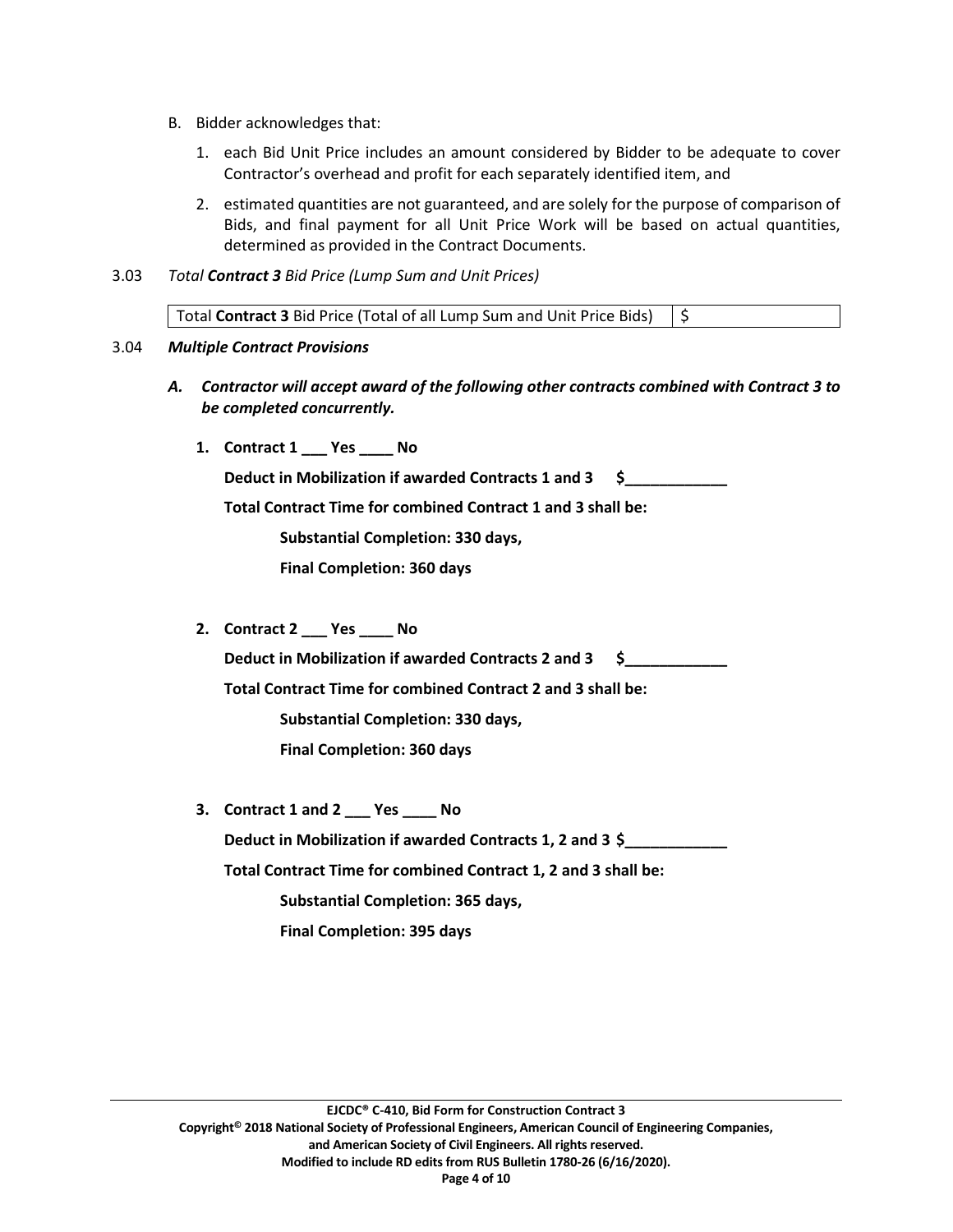- B. Bidder acknowledges that:
	- 1. each Bid Unit Price includes an amount considered by Bidder to be adequate to cover Contractor's overhead and profit for each separately identified item, and
	- 2. estimated quantities are not guaranteed, and are solely for the purpose of comparison of Bids, and final payment for all Unit Price Work will be based on actual quantities, determined as provided in the Contract Documents.
- 3.03 *Total Contract 3 Bid Price (Lump Sum and Unit Prices)*

| Total Contract 3 Bid Price (Total of all Lump Sum and Unit Price Bids) $\frac{1}{5}$ |  |
|--------------------------------------------------------------------------------------|--|
|                                                                                      |  |

#### 3.04 *Multiple Contract Provisions*

- *A. Contractor will accept award of the following other contracts combined with Contract 3 to be completed concurrently.*
	- **1. Contract 1 \_\_\_ Yes \_\_\_\_ No**

**Deduct in Mobilization if awarded Contracts 1 and 3 \$\_\_\_\_\_\_\_\_\_\_\_\_**

**Total Contract Time for combined Contract 1 and 3 shall be:** 

**Substantial Completion: 330 days,** 

**Final Completion: 360 days**

**2. Contract 2 \_\_\_ Yes \_\_\_\_ No**

**Deduct in Mobilization if awarded Contracts 2 and 3 \$\_\_\_\_\_\_\_\_\_\_\_\_**

**Total Contract Time for combined Contract 2 and 3 shall be:** 

**Substantial Completion: 330 days,** 

**Final Completion: 360 days**

**3. Contract 1 and 2 \_\_\_ Yes \_\_\_\_ No Deduct in Mobilization if awarded Contracts 1, 2 and 3 \$ Total Contract Time for combined Contract 1, 2 and 3 shall be: Substantial Completion: 365 days,** 

**Final Completion: 395 days**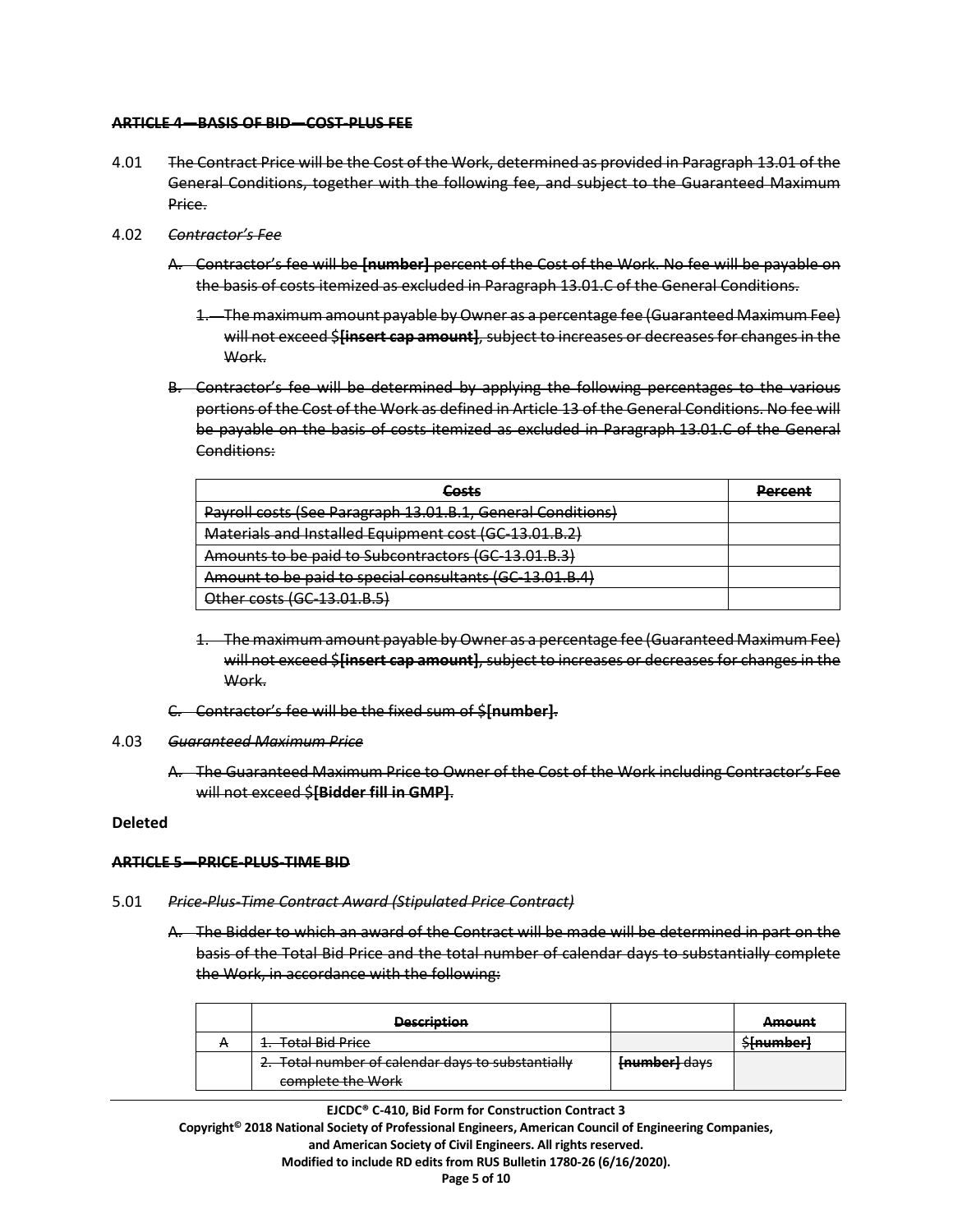#### **ARTICLE 4—BASIS OF BID—COST-PLUS FEE**

- 4.01 The Contract Price will be the Cost of the Work, determined as provided in Paragraph 13.01 of the General Conditions, together with the following fee, and subject to the Guaranteed Maximum Price.
- 4.02 *Contractor's Fee*
	- A. Contractor's fee will be **[number]** percent of the Cost of the Work. No fee will be payable on the basis of costs itemized as excluded in Paragraph 13.01.C of the General Conditions.
		- 1. The maximum amount payable by Owner as a percentage fee (Guaranteed Maximum Fee) will not exceed \$**[insert cap amount]**, subject to increases or decreases for changes in the Work.
	- B. Contractor's fee will be determined by applying the following percentages to the various portions of the Cost of the Work as defined in Article 13 of the General Conditions. No fee will be payable on the basis of costs itemized as excluded in Paragraph 13.01.C of the General Conditions:

| Costs<br>60565                                              | Dorcont<br>r <del>ercem</del> |
|-------------------------------------------------------------|-------------------------------|
| Payroll costs (See Paragraph 13.01.B.1, General Conditions) |                               |
| Materials and Installed Equipment cost (GC-13.01.B.2)       |                               |
| Amounts to be paid to Subcontractors (GC-13.01.B.3)         |                               |
| Amount to be paid to special consultants (GC-13.01.B.4)     |                               |
| Other costs (GC-13.01.B.5)                                  |                               |

- 1. The maximum amount payable by Owner as a percentage fee (Guaranteed Maximum Fee) will not exceed \$**[insert cap amount]**, subject to increases or decreases for changes in the Work.
- C. Contractor's fee will be the fixed sum of \$**[number]**.

#### 4.03 *Guaranteed Maximum Price*

A. The Guaranteed Maximum Price to Owner of the Cost of the Work including Contractor's Fee will not exceed \$**[Bidder fill in GMP]**.

#### **Deleted**

## **ARTICLE 5—PRICE-PLUS-TIME BID**

#### 5.01 *Price-Plus-Time Contract Award (Stipulated Price Contract)*

A. The Bidder to which an award of the Contract will be made will be determined in part on the basis of the Total Bid Price and the total number of calendar days to substantially complete the Work, in accordance with the following:

| <b>Deccription</b><br><del>,,,,,,,,,,,,</del>                          |               | $A$ mount<br>amo em                      |
|------------------------------------------------------------------------|---------------|------------------------------------------|
| 1. Total Bid Price                                                     |               | <u> Claumharl</u><br><del>umannuch</del> |
| 2. Total number of calendar days to substantially<br>complete the Work | [number] days |                                          |

**EJCDC® C-410, Bid Form for Construction Contract 3**

**Copyright© 2018 National Society of Professional Engineers, American Council of Engineering Companies, and American Society of Civil Engineers. All rights reserved. Modified to include RD edits from RUS Bulletin 1780-26 (6/16/2020).**

**Page 5 of 10**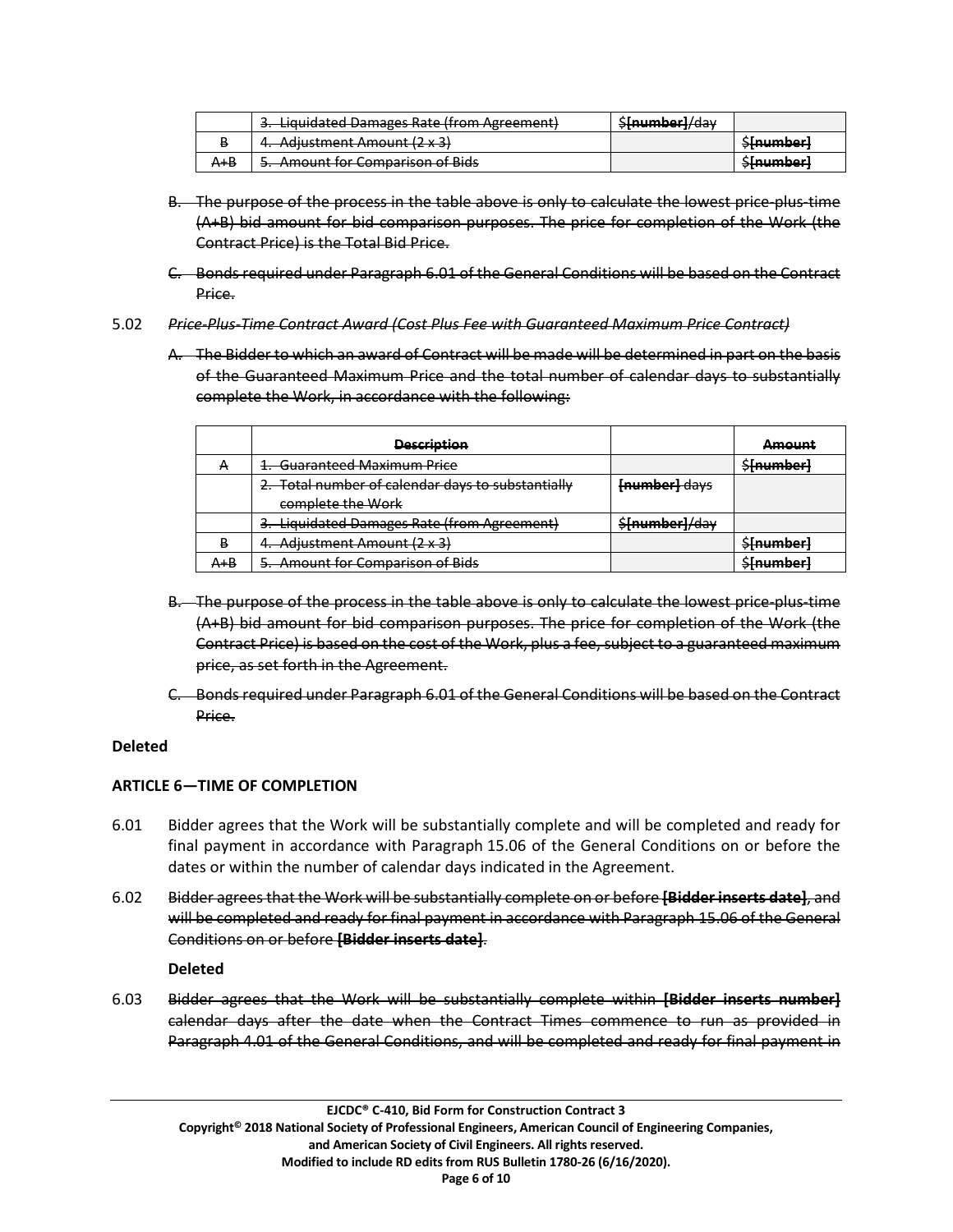|         | 3. Liquidated Damages Rate (from Agreement) | \$[number]/day |                                          |
|---------|---------------------------------------------|----------------|------------------------------------------|
| Ð       | 4. Adjustment Amount (2 x 3)                |                | <del>\$[number]</del>                    |
| $A + B$ | 5. Amount for Comparison of Bids            |                | <u> Sloumborl</u><br><del>omannocr</del> |

- B. The purpose of the process in the table above is only to calculate the lowest price-plus-time (A+B) bid amount for bid comparison purposes. The price for completion of the Work (the Contract Price) is the Total Bid Price.
- C. Bonds required under Paragraph 6.01 of the General Conditions will be based on the Contract Price.
- 5.02 *Price-Plus-Time Contract Award (Cost Plus Fee with Guaranteed Maximum Price Contract)*
	- A. The Bidder to which an award of Contract will be made will be determined in part on the basis of the Guaranteed Maximum Price and the total number of calendar days to substantially complete the Work, in accordance with the following:

|           | <b>Description</b>                                |                | <b>Amount</b> |
|-----------|---------------------------------------------------|----------------|---------------|
| <b>TT</b> | 1. Guaranteed Maximum Price                       |                | \$[number]    |
|           | 2. Total number of calendar days to substantially | [number] days  |               |
|           | complete the Work                                 |                |               |
|           | 3. Liquidated Damages Rate (from Agreement)       | \$[number]/day |               |
| в         | 4. Adjustment Amount (2 x 3)                      |                | \$[number]    |
| A+B       | 5. Amount for Comparison of Bids                  |                | \$[number]    |

- B. The purpose of the process in the table above is only to calculate the lowest price-plus-time (A+B) bid amount for bid comparison purposes. The price for completion of the Work (the Contract Price) is based on the cost of the Work, plus a fee, subject to a guaranteed maximum price, as set forth in the Agreement.
- C. Bonds required under Paragraph 6.01 of the General Conditions will be based on the Contract Price.

# **Deleted**

# **ARTICLE 6—TIME OF COMPLETION**

- 6.01 Bidder agrees that the Work will be substantially complete and will be completed and ready for final payment in accordance with Paragraph 15.06 of the General Conditions on or before the dates or within the number of calendar days indicated in the Agreement.
- 6.02 Bidder agrees that the Work will be substantially complete on or before **[Bidder inserts date]**, and will be completed and ready for final payment in accordance with Paragraph 15.06 of the General Conditions on or before **[Bidder inserts date]**.

# **Deleted**

6.03 Bidder agrees that the Work will be substantially complete within **[Bidder inserts number]** calendar days after the date when the Contract Times commence to run as provided in Paragraph 4.01 of the General Conditions, and will be completed and ready for final payment in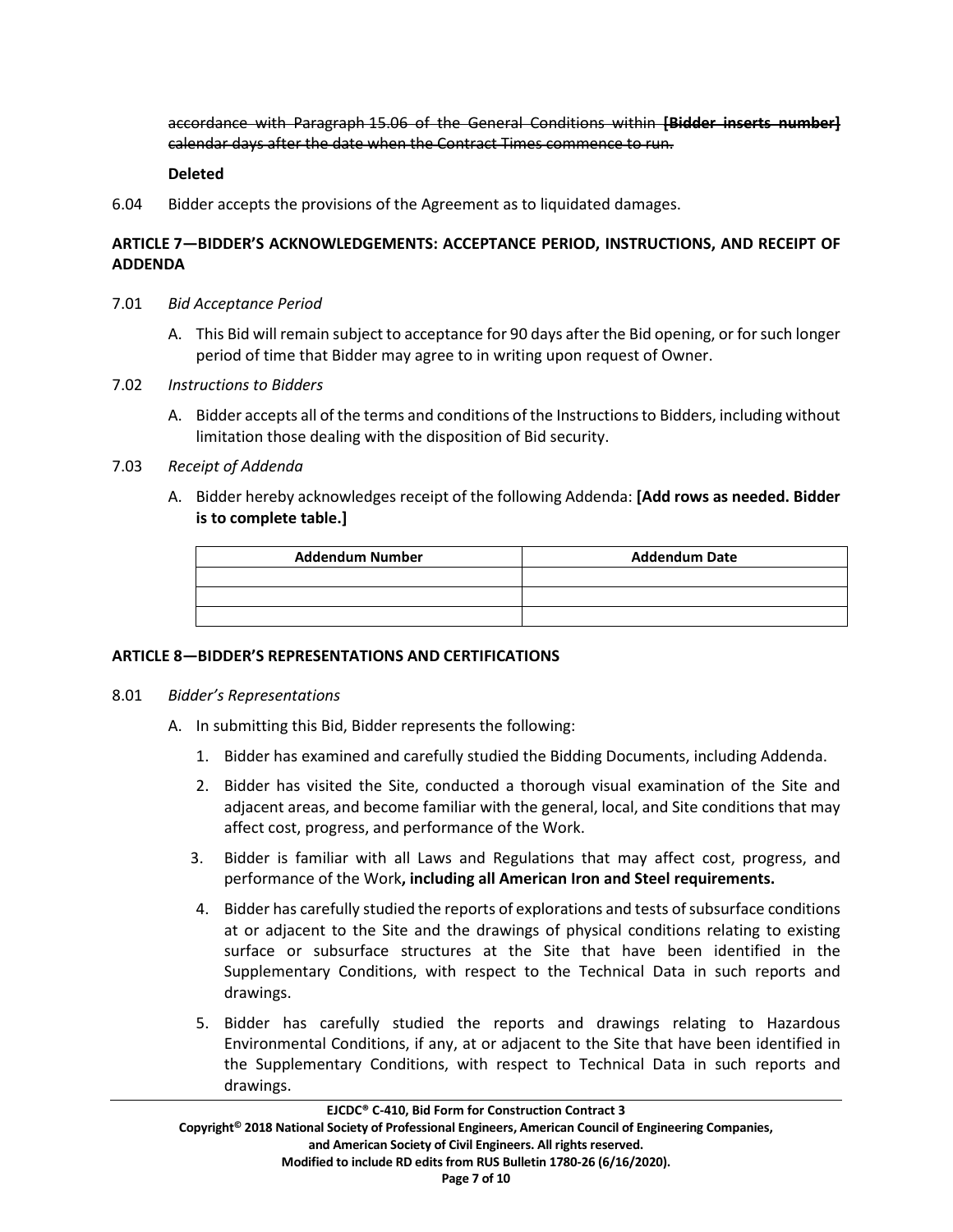accordance with Paragraph 15.06 of the General Conditions within **[Bidder inserts number]** calendar days after the date when the Contract Times commence to run.

### **Deleted**

6.04 Bidder accepts the provisions of the Agreement as to liquidated damages.

# **ARTICLE 7—BIDDER'S ACKNOWLEDGEMENTS: ACCEPTANCE PERIOD, INSTRUCTIONS, AND RECEIPT OF ADDENDA**

- 7.01 *Bid Acceptance Period*
	- A. This Bid will remain subject to acceptance for 90 days after the Bid opening, or for such longer period of time that Bidder may agree to in writing upon request of Owner.
- 7.02 *Instructions to Bidders*
	- A. Bidder accepts all of the terms and conditions of the Instructions to Bidders, including without limitation those dealing with the disposition of Bid security.

## 7.03 *Receipt of Addenda*

A. Bidder hereby acknowledges receipt of the following Addenda: **[Add rows as needed. Bidder is to complete table.]**

| <b>Addendum Number</b> | <b>Addendum Date</b> |
|------------------------|----------------------|
|                        |                      |
|                        |                      |
|                        |                      |

## **ARTICLE 8—BIDDER'S REPRESENTATIONS AND CERTIFICATIONS**

#### 8.01 *Bidder's Representations*

- A. In submitting this Bid, Bidder represents the following:
	- 1. Bidder has examined and carefully studied the Bidding Documents, including Addenda.
	- 2. Bidder has visited the Site, conducted a thorough visual examination of the Site and adjacent areas, and become familiar with the general, local, and Site conditions that may affect cost, progress, and performance of the Work.
	- 3. Bidder is familiar with all Laws and Regulations that may affect cost, progress, and performance of the Work**, including all American Iron and Steel requirements.**
	- 4. Bidder has carefully studied the reports of explorations and tests of subsurface conditions at or adjacent to the Site and the drawings of physical conditions relating to existing surface or subsurface structures at the Site that have been identified in the Supplementary Conditions, with respect to the Technical Data in such reports and drawings.
	- 5. Bidder has carefully studied the reports and drawings relating to Hazardous Environmental Conditions, if any, at or adjacent to the Site that have been identified in the Supplementary Conditions, with respect to Technical Data in such reports and drawings.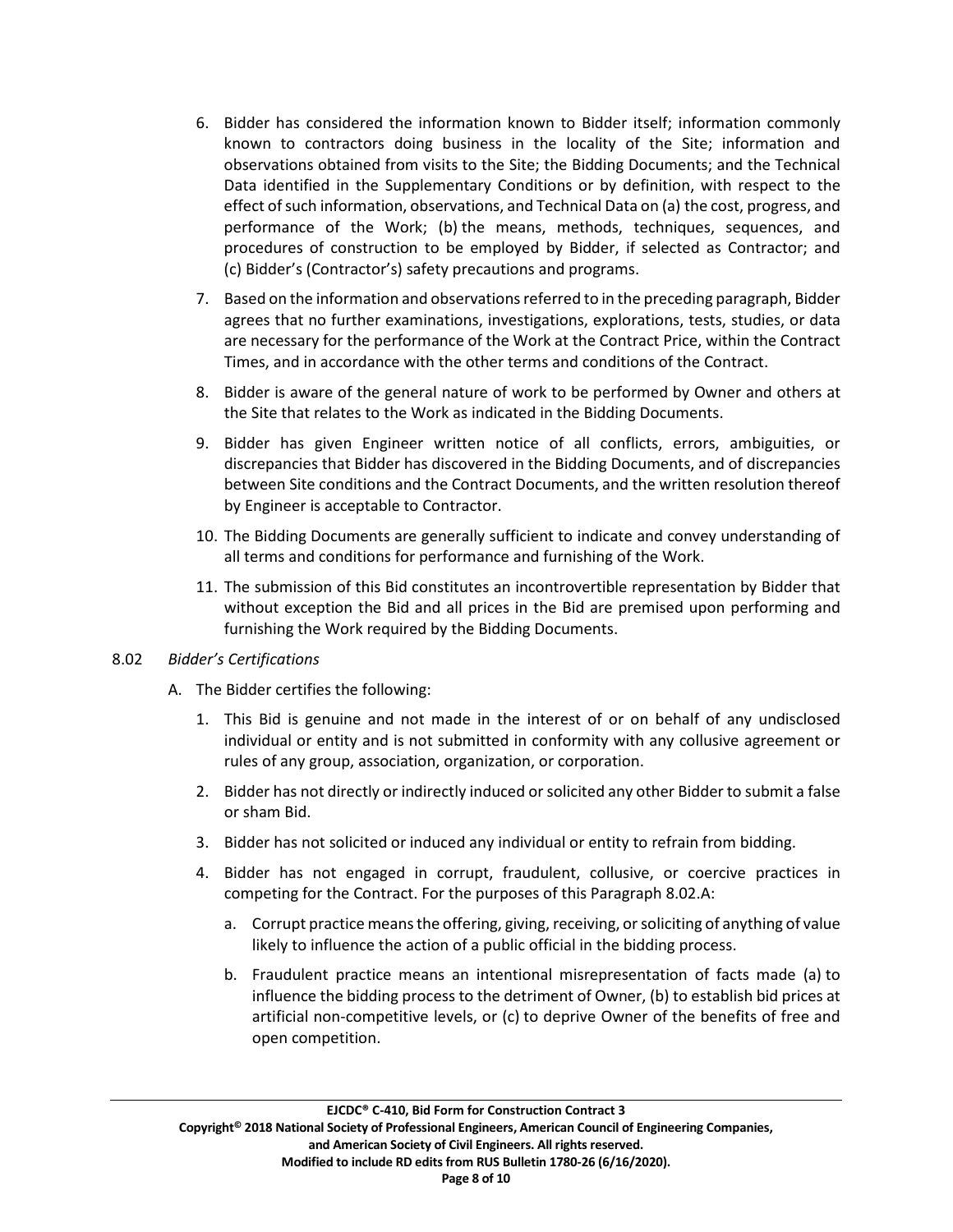- 6. Bidder has considered the information known to Bidder itself; information commonly known to contractors doing business in the locality of the Site; information and observations obtained from visits to the Site; the Bidding Documents; and the Technical Data identified in the Supplementary Conditions or by definition, with respect to the effect of such information, observations, and Technical Data on (a) the cost, progress, and performance of the Work; (b) the means, methods, techniques, sequences, and procedures of construction to be employed by Bidder, if selected as Contractor; and (c) Bidder's (Contractor's) safety precautions and programs.
- 7. Based on the information and observations referred to in the preceding paragraph, Bidder agrees that no further examinations, investigations, explorations, tests, studies, or data are necessary for the performance of the Work at the Contract Price, within the Contract Times, and in accordance with the other terms and conditions of the Contract.
- 8. Bidder is aware of the general nature of work to be performed by Owner and others at the Site that relates to the Work as indicated in the Bidding Documents.
- 9. Bidder has given Engineer written notice of all conflicts, errors, ambiguities, or discrepancies that Bidder has discovered in the Bidding Documents, and of discrepancies between Site conditions and the Contract Documents, and the written resolution thereof by Engineer is acceptable to Contractor.
- 10. The Bidding Documents are generally sufficient to indicate and convey understanding of all terms and conditions for performance and furnishing of the Work.
- 11. The submission of this Bid constitutes an incontrovertible representation by Bidder that without exception the Bid and all prices in the Bid are premised upon performing and furnishing the Work required by the Bidding Documents.

# 8.02 *Bidder's Certifications*

- A. The Bidder certifies the following:
	- 1. This Bid is genuine and not made in the interest of or on behalf of any undisclosed individual or entity and is not submitted in conformity with any collusive agreement or rules of any group, association, organization, or corporation.
	- 2. Bidder has not directly or indirectly induced or solicited any other Bidder to submit a false or sham Bid.
	- 3. Bidder has not solicited or induced any individual or entity to refrain from bidding.
	- 4. Bidder has not engaged in corrupt, fraudulent, collusive, or coercive practices in competing for the Contract. For the purposes of this Paragraph 8.02.A:
		- a. Corrupt practice meansthe offering, giving, receiving, or soliciting of anything of value likely to influence the action of a public official in the bidding process.
		- b. Fraudulent practice means an intentional misrepresentation of facts made (a) to influence the bidding process to the detriment of Owner, (b) to establish bid prices at artificial non-competitive levels, or (c) to deprive Owner of the benefits of free and open competition.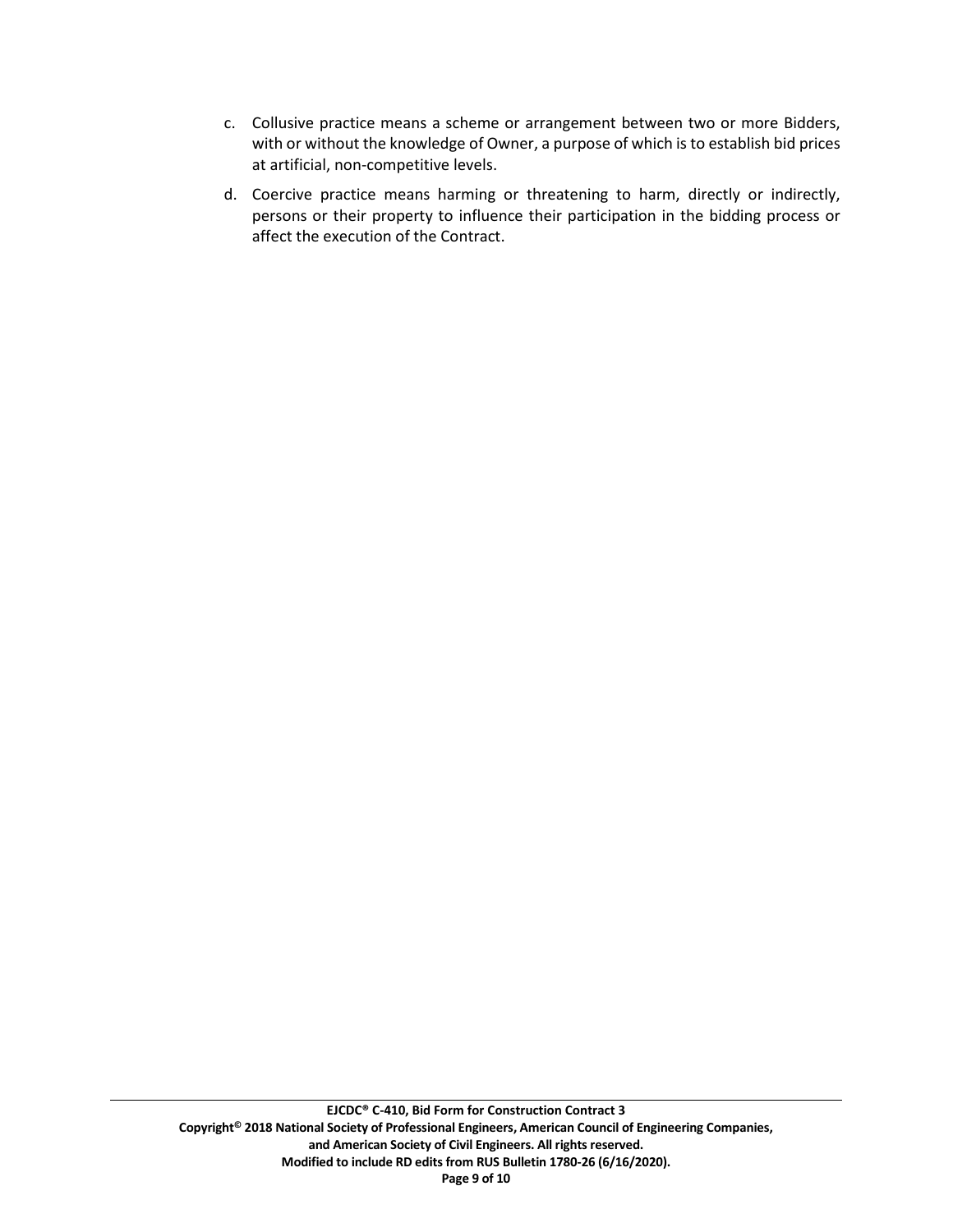- c. Collusive practice means a scheme or arrangement between two or more Bidders, with or without the knowledge of Owner, a purpose of which is to establish bid prices at artificial, non-competitive levels.
- d. Coercive practice means harming or threatening to harm, directly or indirectly, persons or their property to influence their participation in the bidding process or affect the execution of the Contract.